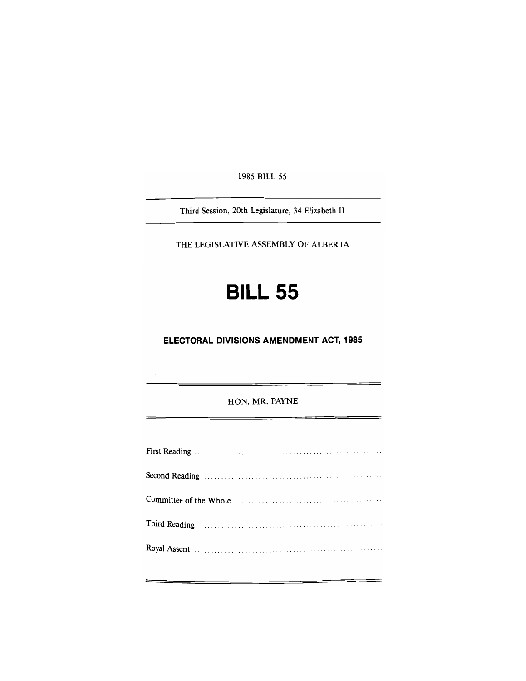1985 BILL 55

Third Session, 20th Legislature, 34 Elizabeth II

THE LEGISLATIVE ASSEMBLY OF ALBERTA

# **BILL 55**

**ELECTORAL DIVISIONS AMENDMENT ACT, 1985** 

HON. MR. PAYNE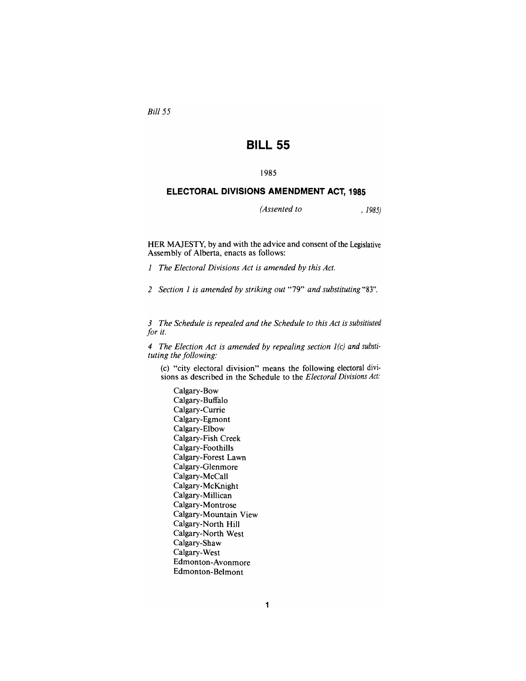*Bill 55* 

# **BILL 55**

## **1985**

## **ELECTORAL DIVISIONS AMENDMENT ACT, 1985**

*(Assented to , 1985)* 

HER MAJESTY, by and with the advice and consent of the Legislative Assembly of Alberta, enacts as follows:

*1 The Electoral Divisions Act is amended by this Act.* 

*2 Section 1 is amended by striking out* "79" *and substituting* "83".

*3 The Schedule is repealed and the Schedule to this Act is subsitiuted for it.* 

*4 The Election Act is amended by repealing section 1(c) and substituting the following:* 

(c) "city electoral division" means the following electoral divisions as described in the Schedule to the *Electoral Divisions Act:* 

Calgary-Bow Calgary-Buffalo Calgary-Currie Calgary-Egmont Calgary-Elbow Calgary-Fish Creek Calgary-Foothills Calgary-Forest Lawn Calgary-Glenmore Calgary-McCall Calgary-McKnight Calgary-Millican Calgary-Montrose Calgary-Mountain View Calgary-North Hill Calgary-North West Calgary-Shaw Calgary-West Edmonton-Avonmore Edmonton-Belmont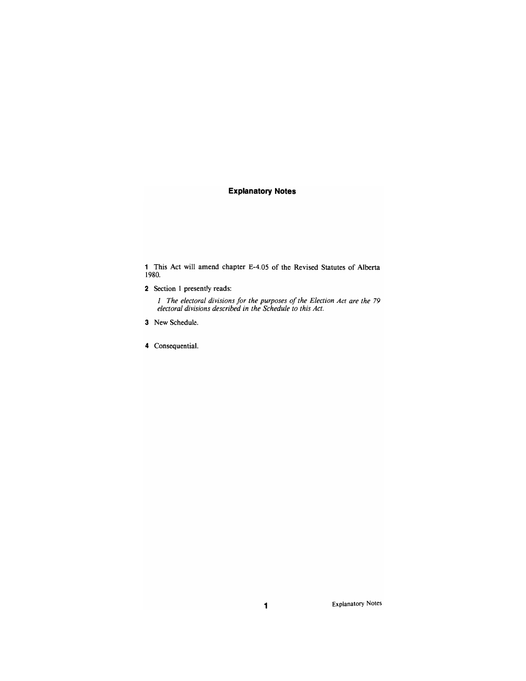## **Explanatory Notes**

1 This Act will amend chapter E-4.05 of the Revised Statutes of Alberta 1980.

2 Section 1 presently reads:

/ *The electoral divisions for the purposes of the Election Act are the 79 electoral divisions described in the Schedule to this Act.* 

- 3 New Schedule.
- 4 Consequential.

Explanatory Notes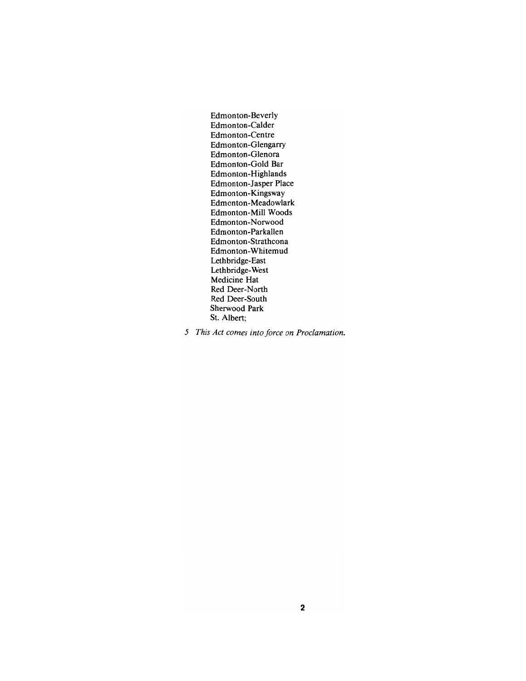Edmonton-Beverly Edmonton-Calder Edmonton-Centre Edmonton-Glengarry Edmonton-Glenora Edmonton-Gold Bar Edmonton-Highlands Edmonton-Jasper Place Edmonton-Kingsway Edmonton-Meadowlark Edmonton-Mill Woods Edmonton-Norwood Edmonton-Parkallen Edmonton-Strathcona Edmonton-Whitemud Lethbridge-East Lethbridge-West Medicine Hat Red Deer-North Red Deer-South Sherwood Park St. Albert;

5 *This Act comes into force on Proclamation.*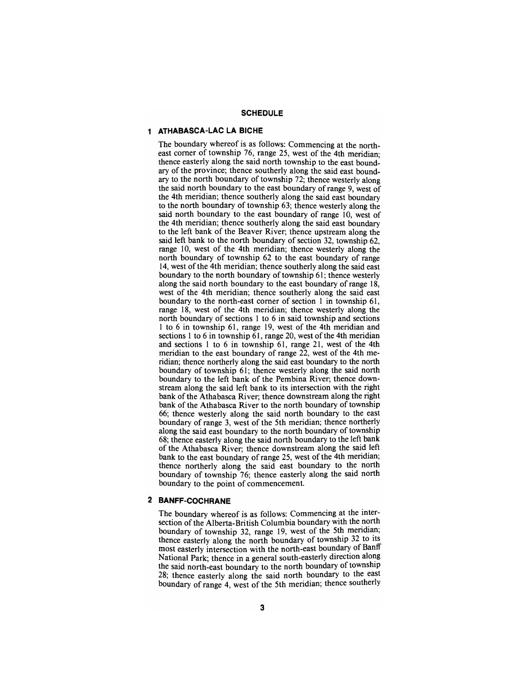#### **SCHEDULE**

## **1 ATHABASCA-LAC LA BICHE**

The boundary whereof is as follows: Commencing at the northeast comer of township 76, range 25, west of the 4th meridian; thence easterly along the said north township to the east boundary of the province; thence southerly along the said east boundary to the north boundary of township 72; thence westerly along the said north boundary to the east boundary of range 9, west of the 4th meridian; thence southerly along the said east boundary to the north boundary of township 63; thence westerly along the said north boundary to the east boundary of range 10, west of the 4th meridian; thence southerly along the said east boundary to the left bank of the Beaver River; thence upstream along the said left bank to the north boundary of section 32, township 62, range 10, west of the 4th meridian; thence westerly along the north boundary of township 62 to the east boundary of range 14, west of the 4th meridian; thence southerly along the said east boundary to the north boundary of township 61; thence westerly along the said north boundary to the east boundary of range 18, west of the 4th meridian; thence southerly along the said east boundary to the north-east comer of section 1 in township 61, range 18, west of the 4th meridian; thence westerly along the north boundary of sections 1 to 6 in said township and sections 1 to 6 in township 61, range 19, west of the 4th meridian and sections 1 to 6 in township 61, range 20, west of the 4th meridian and sections 1 to 6 in township  $61$ , range 21, west of the 4th meridian to the east boundary of range 22, west of the 4th meridian; thence northerly along the said east boundary to the north boundary of township 61; thence westerly along the said north boundary to the left bank of the Pembina River; thence downstream along the said left bank to its intersection with the right bank of the Athabasca River; thence downstream along the right bank of the Athabasca River to the north boundary of township 66; thence westerly along the said north boundary to the east boundary of range 3, west of the 5th meridian; thence northerly along the said east boundary to the north boundary of township 68; thence easterly along the said north boundary to the left bank of the Athabasca River; thence downstream along the said left bank to the east boundary of range 25, west of the 4th meridian; thence northerly along the said east boundary to the north boundary of township 76; thence easterly along the said north boundary to the point of commencement.

## **2 BANFF-COCHRANE**

The boundary whereof is as follows: Commencing at the intersection of the Alberta-British Columbia boundary with the north boundary of township 32, range 19, west of the 5th meridian; thence easterly along the north boundary of township 32 to its most easterly intersection with the north-east boundary of Banff National Park; thence in a general south-easterly direction along the said north-east boundary to the north boundary of township 28; thence easterly along the said north boundary to the east boundary of range 4, west of the 5th meridian; thence southerly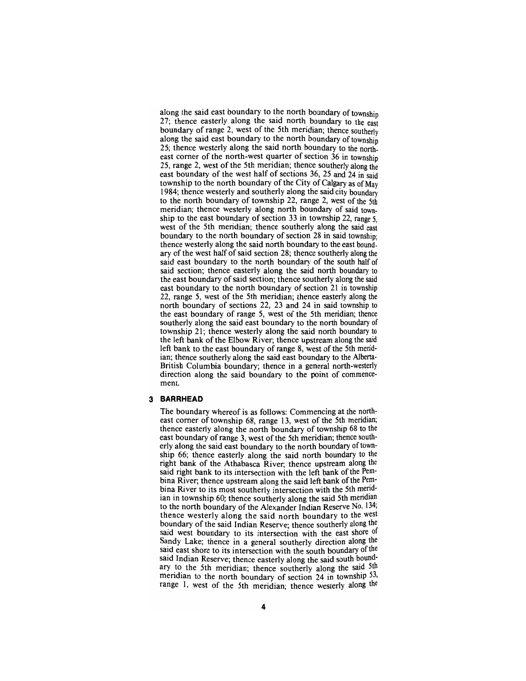along the said east boundary to the north boundary of township 27: thence easterly along the said north boundary to the east boundary of range 2, west of the 5th meridian; thence southerly along the said east boundary to the north boundary of township 25; thence westerly along the said north boundary to the northeast comer of the north-west quarter of section 36 in township 25, range 2, west of the 5th meridian; thence southerly along the east boundary of the west half of sections 36, 25 and 24 in said township to the north boundary of the City of Calgary as of May 1984; thence westerly and southerly along the said city boundary to the north boundary of township 22, range 2, west of the 5th meridian; thence westerly along north boundary of said township to the east boundary of section 33 in township 22, range 5, west of the 5th meridian; thence southerly along the said east boundary to the north boundary of section 28 in said township; thence westerly along the said north boundary to the east boundary of the west half of said section 28; thence southerly along the said east boundary to the north boundary of the south half of said section; thence easterly along the said north boundary to the east boundary of said section; thence southerly along the said east boundary to the north boundary of section 21 in township 22, range 5, west of the 5th meridian; thence easterly along the north boundary of sections 22, 23 and 24 in said township to the east boundary of range 5, west of the 5th meridian; thence southerly along the said east boundary to the north boundary of township 21; thence westerly along the said north boundary to the left bank of the Elbow River; thence upstream along the said left bank to the east boundary of range 8, west of the 5th meridian; thence southerly along the said east boundary to the Alberta-British Columbia boundary; thence in a general north-westeriy direction along the said boundary to the point of commencement.

#### **3 BARRHEAD**

The boundary whereof is as follows: Commencing at the northeast comer of township 68, range 13, west of the 5th meridian; thence easterly along the north boundary of township 68 to the east boundary of range 3, west of the 5th meridian; thence southerly along the said east boundary to the north boundary of township 66; thence easterly along the said north boundary to the right bank of the Athabasca River; thence upstream along the said right bank to its intersection with the left bank of the Pembina River; thence upstream along the said left bank of the Pembina River to its most southerly intersection with the 5th meridian in township 60; thence southerly along the said 5th meridian to the north boundary of the Alexander Indian Reserve No. 134; thence westerly along the said north boundary to the west boundary of the said Indian Reserve; thence southerly along the said west boundary to its intersection with the east shore of Sandy Lake; thence in a general southerly direction along the said east shore to its intersection with the south boundary of the said Indian Reserve; thence easterly along the said south boundary to the 5th meridian; thence southerly along the said 5th meridian to the north boundary of section 24 in township 53, range 1, west of the 5th meridian; thence westeriy along the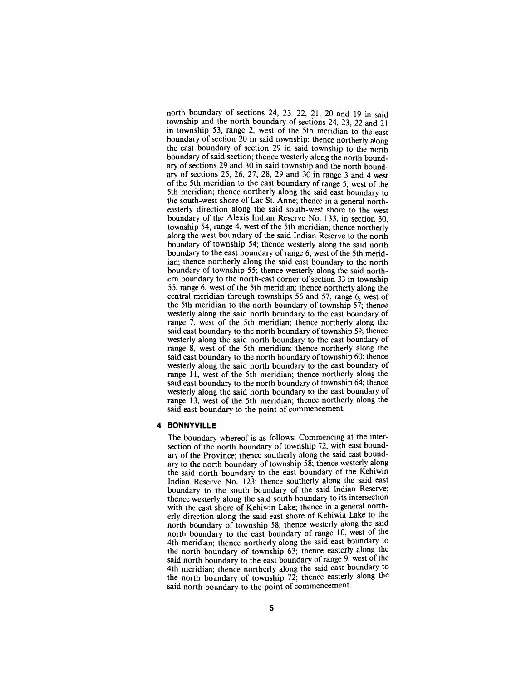north boundary of sections 24, 23, 22, 21, 20 and 19 in said township and the north boundary of sections 24, 23, 22 and 21 in township 53, range 2, west of the 5th meridian to the east boundary of section 20 in said township; thence northeriy along the east boundary of section 29 in said township to the north boundary of said section; thence westerly along the north boundary of sections 29 and 30 in said township and the north boundary of secdons 25, 26, 27, 28, 29 and 30 in range 3 and 4 west of the 5th meridian to the east boundary of range 5, west of the 5th meridian; thence northerly along the said east boundary to the south-west shore of Lac St. Anne; thence in a general northeasterly direction along the said south-west shore to the west boundary of the Alexis Indian Reserve No. 133, in section 30. township 54, range 4, west of the 5th meridian; thence northerly along the west boundary of the said Indian Reserve to the north boundary of township 54; thence westerly along the said north boundary to the east boundary of range 6, west of the 5th meridian; thence northerly along the said east boundary to the north boundary of township 55; thence westerly along the said northem boundary to the north-east comer of section 33 in township 55, range 6, west of the 5th meridian; thence northerly along the central meridian through townships 56 and 57, range 6, west of the 5th meridian to the north boundary of township 57; thence westerly along the said north boundary to the east boundary of range 7, west of the 5th meridian; thence northerly along the said east boundary to the north boundary of township 59; thence westerly along the said north boundary to the east boundary of range 8, west of the 5th meridian; thence northerly along the said east boundary to the north boundary of township 60; thence westerly along the said north boundary to the east boundary of range 11, west of the 5th meridian; thence northerly along the said east boundary to the north boundary of township 64; thence westerly along the said north boundary to the east boundary of range 13, west of the 5th meridian; thence northerly along the said east boundary to the point of commencement.

## **4 BONNYVILLE**

The boundary whereof is as follows: Commencing at the intersection of the north boundary of township 72, with east boundary of the Province; thence southerly along the said east boundary to the north boundary of township 58; thence westeriy along the said north boundary to the east boundary of the Kehiwin Indian Reserve No. 123; thence southerly along the said east boundary to the south boundary of the said Indian Reserve; thence westerly along the said south boundary to its intersection with the east shore of Kehiwin Lake; thence in a general northeriy direction along the said east shore of Kehiwin Lake to the north boundary of township 58; thence westeriy along the said north boundary to the east boundary of range 10, west of the 4th meridian; thence northeriy along the said east boundary to the north boundary of township 63; thence easteriy along the said north boundary to the east boundary of range 9, west of the 4th meridian; thence northeriy along the said east boundary to the north boundary of township 72; thence easterly along the said north boundary to the point of commencement.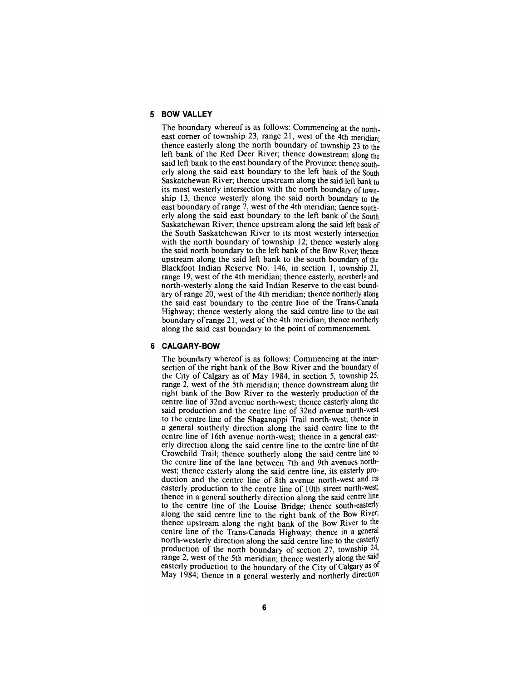## **5 BOW VALLEY**

The boundary whereof is as follows: Commencing at the northeast corner of township 23, range 21, west of the 4th meridian; thence easterly along the north boundary of township 23 to the left bank of the Red Deer River; thence downstream along the said left bank to the east boundary of the Province; thence southerly along the said east boundary to the left bank of the South Saskatchewan River; thence upstream along the said left bank to its most westerly intersection with the north boundary of township 13, thence westerly along the said north boundary to the east boundary of range 7, west of the 4th meridian; thence southerly along the said east boundary to the left bank of the South Saskatchewan River; thence upstream along the said left bank of the South Saskatchewan River to its most westerly intersection with the north boundary of township 12; thence westerly along the said north boundary to the left bank of the Bow River; thence upstream along the said left bank to the south boundary of the Blackfoot Indian Reserve No. 146, in section 1, township 21, range 19, west of the 4th meridian; thence easterly, northerly and north-westerly along the said Indian Reserve to the east boundary of range 20, west of the 4th meridian; thence northerly along the said east boundary to the centre line of the Trans-Canada Highway; thence westerly along the said centre line to the east boundary of range 21, west of the 4th meridian; thence northerly along the said east boundary to the point of commencement.

#### **6 CALGARY-BOW**

The boundary whereof is as follows: Commencing at the inter-<br>section of the right bank of the Bow River and the boundary of<br>the City of Calgary as of May 1984, in section 5, township 25, range 2, west of the 5th meridian; thence downstream along the right bank of the Bow River to the westerly production of the centre line of 32nd avenue north-west; thence easterly along the said production and the centre line of 32nd avenue north-west to the centre line of the Shaganappi Trail north-west; thence in a general southerly direction along the said centre line to the centre line of 16th avenue north-west; thence in a general east- erly direction along the said centre line to the centre line of the Crowchild Trail; thence southerly along the said centre line to the centre line of the lane between 7th and 9th avenues north- west; thence easterly along the said centre line, its easteriy pro- duction and the centre line of 8th avenue north-west and its easterly production to the centre line of 10th street north-west; thence in a general southerly direction along the said centre line to the centre line of the Louise Bridge; thence south-easteriy along the said centre line to the right bank of the Bow River; thence upstream along the right bank of the Bow River to the centre line of the Trans-Canada Highway; thence in a general north-westerly direction along the said centre line to the easteriy production of the north boundary of section 27, township 24, range 2, west of the 5th meridian; thence westerly along the said easterly production to the boundary of the City of Calgary as of May 1984; thence in a general westerly and northerly direction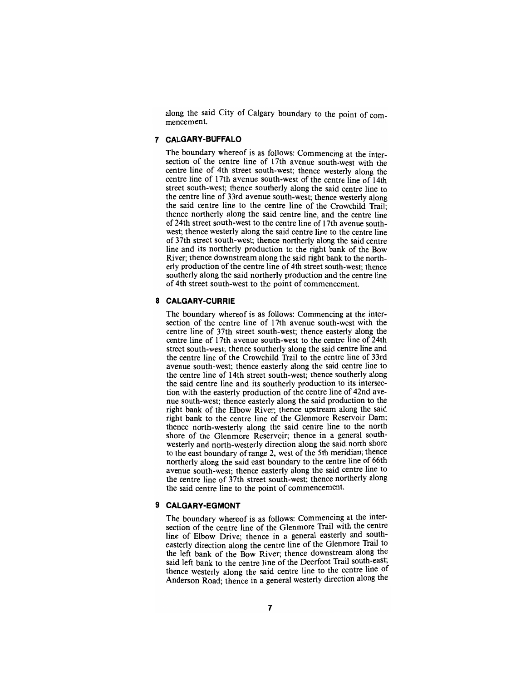along the said City of Calgary boundary to the point of com- mencement.

## **7 CALGARY-BUFFALO**

The boundary whereof is as follows: Commencing at the intersection of the centre line of 17th avenue south-west with the centre line of 4th street south-west; thence westerly along the centre line of 17th avenue south-west of the centre line of 14th street south-west; thence southerly along the said centre line to the centre line of 33rd avenue south-west; thence westeriy along the said centre line to the centre line of the Crowchild Trail; thence northerly along the said centre line, and the centre line of 24th street south-west to the centre line of 17th avenue southwest; thence westerly along the said centre line to the centre line of 37th street south-west; thence northerly along the said centre line and its northerly production to the right bank of the Bow River; thence downstream along the said right bank to the northerly production of the centre line of 4th street south-west; thence southerly along the said northerly production and the centre line of 4th street south-west to the point of commencement.

## **8 CALGARY-CURRIE**

The boundary whereof is as follows: Commencing at the intersection of the centre line of 17th avenue south-west with the centre line of 37th street south-west; thence easterly along the centre line of 17th avenue south-west to the centre line of 24th street south-west; thence southerly along the said centre line and the centre line of the Crowchild Trail to the centre line of 33rd avenue south-west; thence easterly along the said centre line to the centre line of 14th street south-west; thence southerly along the said centre line and its southerly production to its intersection with the easterly production of the centre line of 42nd avenue south-west; thence easterly along the said production to the right bank of the Elbow River; thence upstream along the said right bank to the centre line of the Glenmore Reservoir Dam; thence north-westerly along the said centre line to the north shore of the Glenmore Reservoir; thence in a general southwesterly and north-westerly direction along the said north shore to the east boundary of range 2, west of the 5th meridian; thence northerly along the said east boundary to the centre line of 66th avenue south-west; thence easterly along the said centre line to the centre line of 37th street south-west; thence northerly along the said centre line to the point of commencement.

#### **9 CALGARY-EGMONT**

The boundary whereof is as follows: Commencing at the intersection of the centre line of the Glenmore Trail with the centre line of Elbow Drive; thence in a general easteriy and southeasterly direction along the centre line of the Glenmore Trail to the left bank of the Bow River; thence downstream along the said left bank to the centre line of the Deerfoot Trail south-east; thence westerly along the said centre line to the centre line of Anderson Road; thence in a general westerly direction along the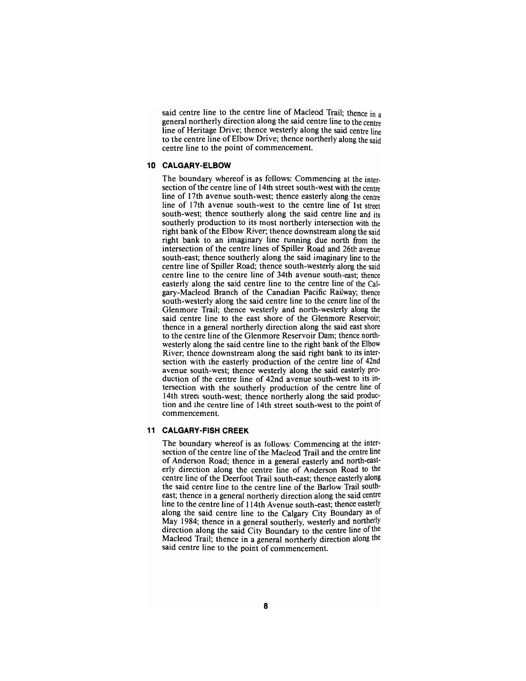said centre line to the centre line of Macleod Trail; thence in a general northerly direction along the said centre line to the centre line of Heritage Drive; thence westerly along the said centre line to the centre line of Elbow Drive; thence northerly along the said centre line to the point of commencement.

#### **10 CALGARY-ELBOW**

The boundary whereof is as follows: Commencing at the intersection of the centre line of 14th street south-west with the centre line of 17th avenue south-west; thence easterly along the centre line of 17th avenue south-west to the centre line of 1st street south-west; thence southerly along the said centre line and its southerly production to its most northerly intersection with the right bank of the Elbow River; thence downstream along the said right bank to an imaginary line running due north from the intersection of the centre lines of Spiller Road and 26th avenue south-east; thence southerly along the said imaginary line to the centre line of Spiller Road; thence south-westerly along the said centre line to the centre line of 34th avenue south-east; thence easterly along the said centre line to the centre line of the Calgary-Macleod Branch of the Canadian Pacific Railway; thence south-westerly along the said centre line to the centre line of the Glenmore Trail; thence westerly and north-westerly along the said centre line to the east shore of the Glenmore Reservoir; thence in a general northerly direction along the said east shore to the centre line of the Glenmore Reservoir Dam; thence northwesterly along the said centre line to the right bank of the Elbow River; thence downstream along the said right bank to its intersection with the easterly production of the centre line of 42nd avenue south-west; thence westerly along the said easterly production of the centre line of 42nd avenue south-west to its intersection with the southerly production of the centre line of 14th street south-west; thence northerly along the said production and the centre line of 14th street south-west to the point of commencement.

#### **11 CALGARY-FISH CREEK**

The boundary whereof is as follows: Commencing at the intersection of the centre line of the Macleod Trail and the centre line of Anderson Road; thence in a general easterly and north-easterly direction along the centre line of Anderson Road to the centre line of the Deerfoot Trail south-east; thence easterly along the said centre line to the centre line of the Barlow Trail southeast; thence in a general northerly direction along the said centre line to the centre line of 114th Avenue south-east; thence easterly along the said centre line to the Calgary City Boundary as of May 1984; thence in a general southerly, westerly and northerly direction along the said City Boundary to the centre line of the Macleod Trail; thence in a general northerly direction along the said centre line to the point of commencement.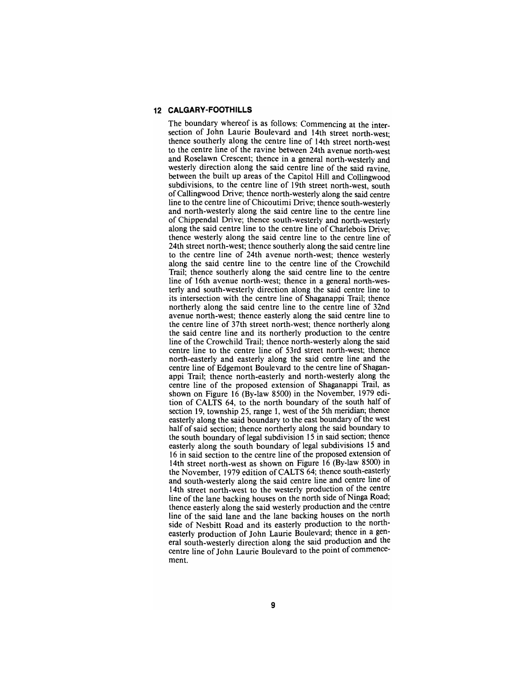## **12 CALGARY-FOOTHILLS**

The boundary whereof is as follows: Commencing at the intersection of John Laurie Boulevard and 14th street north-west; thence southerly along the centre line of 14th street north-west to the centre line of the ravine between 24th avenue north-west and Roselawn Crescent; thence in a general north-westerly and westerly direction along the said centre line of the said ravine, between the built up areas of the Capitol Hill and Collingwood subdivisions, to the centre line of 19th street north-west, south of Callingwood Drive; thence north-westerly along the said centre line to the centre line of Chicoutimi Drive; thence south-westerly and north-westerly along the said centre line to the centre line of Chippendal Drive; thence south-westerly and north-westerly along the said centre line to the centre line of Charlebois Drive; thence westerly along the said centre line to the centre line of 24th street north-west; thence southerly along the said centre line to the centre line of 24th avenue north-west; thence westerly along the said centre line to the centre line of the Crowchild Trail; thence southerly along the said centre line to the centre line of 16th avenue north-west; thence in a general north-westerly and south-westerly direction along the said centre line to its intersection with the centre line of Shaganappi Trail; thence northerly along the said centre line to the centre line of 32nd avenue north-west; thence easterly along the said centre line to the centre line of 37th street north-west; thence northerly along the said centre line and its northerly production to the centre line of the Crowchild Trail; thence north-westerly along the said centre line to the centre line of 53rd street north-west; thence north-easterly and easterly along the said centre line and the centre line of Edgemont Boulevard to the centre line of Shaganappi Trail; thence north-easterly and north-westerly along the centre line of the proposed extension of Shaganappi Trail, as shown on Figure 16 (By-law 8500) in the November, 1979 edition of CALTS 64, to the north boundary of the south half of section 19, township 25, range 1, west of the 5th meridian; thence easterly along the said boundary to the east boundary of the west half of said section; thence northerly along the said boundary to the south boundary of legal subdivision 15 in said section; thence easterly along the south boundary of legal subdivisions 15 and 16 in said section to the centre line of the proposed extension of 14th street north-west as shown on Figure 16 (By-law 8500) in the November, 1979 edition of CALTS 64; thence south-easteriy and south-westerly along the said centre line and centre line of 14th street north-west to the westerly production of the centre line of the lane backing houses on the north side of Ninga Road; thence easterly along the said westeriy production and the centre line of the said lane and the lane backing houses on the north side of Nesbitt Road and its easteriy production to the northeasteriy production of John Laurie Boulevard; thence in a general south-westeriy direction along the said production and the centre line of John Laurie Boulevard to the point of commencement.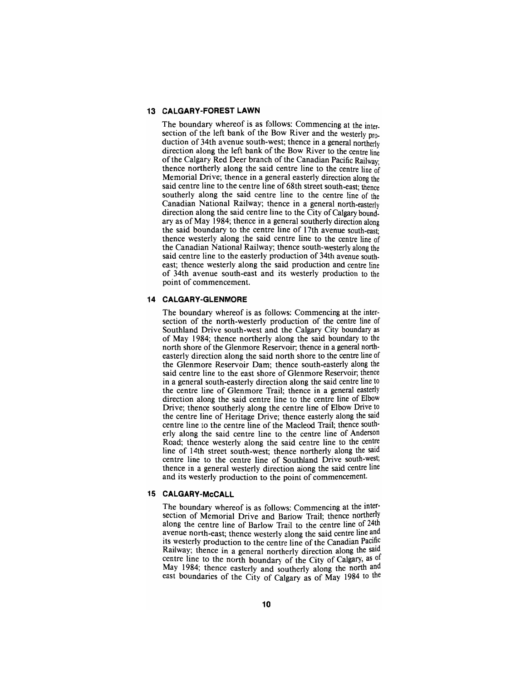# **13 CALGARY-FOREST LAWN**

The boundary whereof is as follows: Commencing at the intersection of the left bank of the Bow River and the westerly production of 34th avenue south-west; thence in a general northerly direction along the left bank of the Bow River to the centre line of the Calgary Red Deer branch of the Canadian Pacific Railway; thence northerly along the said centre line to the centre line of Memorial Drive; thence in a general easterly direction along the said centre line to the centre line of 68th street south-east; thence southerly along the said centre line to the centre line of the Canadian National Railway; thence in a general north-easterly direction along the said centre line to the City of Calgary boundary as of May 1984; thence in a general southerly direction along the said boundary to the centre line of 17th avenue south-east; thence westerly along the said centre line to the centre line of the Canadian National Railway; thence south-westerly along the said centre line to the easterly production of 34th avenue southeast; thence westerly along the said production and centre line of 34th avenue south-east and its westerly production to the point of commencement.

#### **14 CALGARY-GLENMORE**

The boundary whereof is as follows: Commencing at the inter-<br>section of the north-westerly production of the centre line of Southland Drive south-west and the Calgary City boundary as of May 1984; thence northerly along the said boundary to the north shore of the Glenmore Reservoir; thence in a general north-easterly direction along the said north shore to the centre line of the Glenmore Reservoir Dam; thence south-easterly along the said centre line to the east shore of Glenmore Reservoir; thence in a general south-easterly direction along the said centre line to the centre line of Glenmore Trail; thence in a general easterly direction along the said centre line to the centre line of Elbow Drive; thence southerly along the centre line of Elbow Drive to the centre line of Heritage Drive; thence easterly along the said centre line to the centre line of the Macleod Trail; thence south-<br>erly along the said centre line to the centre line of Anderson Road; thence westerly along the said centre line to the centre line of 14th street south-west; thence northerly along the said centre line to the centre line of Southland Drive south-west; thence in a general westerly direction along the said centre line and its westerly production to the point of commencement.

## **15 CALGARY-McCALL**

The boundary whereof is as follows: Commencing at the intersection of Memorial Drive and Bariow Trail; thence northerly along the centre line of Barlow Trail to the centre line of 24th avenue north-east; thence westerly along the said centre line and its westerly production to the centre line of the Canadian Pacific Railway; thence in a general northerly direction along the said centre line to the north boundary of the City of Calgary, as of May 1984; thence easteriy and southerly along the north and east boundaries of the City of Calgary as of May 1984 to the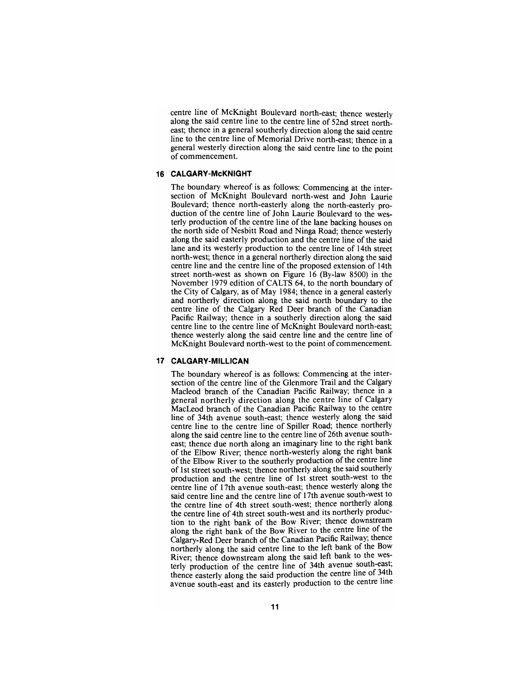centre line of McKnight Boulevard north-east; thence westerly along the said centre line to the centre line of 52nd street north-<br>east; thence in a general southerly direction along the said centre line to the centre line of Memorial Drive north-east; thence in a general westerly direction along the said centre line to the point of commencement.

## **16 CALGARY-McKNIGHT**

The boundary whereof is as follows: Commencing at the inter-section of McKnight Boulevard north-west and John Laurie Boulevard; thence north-easterly along the north-easterly pro- duction of the centre line of John Laurie Boulevard to the wes- terly production of the centre line of the lane backing houses on the north side of Nesbitt Road and Ninga Road; thence westerly along the said easterly production and the centre line of the said lane and its westerly production to the centre line of 14th street north-west; thence in a general northerly direction along the said centre line and the centre line of the proposed extension of 14th street north-west as shown on Figure 16 (By-law 8500) in the November 1979 edition of CALTS 64, to the north boundary of the City of Calgary, as of May 1984; thence in a general easterly and northerly direction along the said north boundary to the centre line of the Calgary Red Deer branch of the Canadian Pacific Railway; thence in a southerly direction along the said centre line to the centre line of McKnight Boulevard north-east; thence westerly along the said centre line and the centre line of McKnight Boulevard north-west to the point of commencement.

## **17 CALGARY-MILLICAN**

The boundary whereof is as follows: Commencing at the intersection of the centre line of the Glenmore Trail and the Calgary Macleod branch of the Canadian Pacific Railway; thence in a general northerly direction along the centre line of Calgary MacLeod branch of the Canadian Pacific Railway to the centre line of 34th avenue south-east; thence westerly along the said centre line to the centre line of Spiller Road; thence northerly along the said centre line to the centre line of 26th avenue southeast; thence due north along an imaginary line to the right bank of the Elbow River; thence north-westeriy along the right bank of the Elbow River to the southerly production of the centre line of 1st street south-west; thence northerly along the said southeriy production and the centre line of 1st street south-west to the centre line of 17th avenue south-east; thence westeriy along the said centre line and the centre line of 17th avenue south-west to the centre line of 4th street south-west; thence northerly along the centre line of 4th street south-west and its northeriy production to the right bank of the Bow River; thence downstream along the right bank of the Bow River to the centre line of the Calgary-Red Deer branch of the Canadian Pacific Railway; thence northeriy along the said centre line to the left bank of the Bow River; thence downstream along the said left bank to the westeriy production of the centre line of 34th avenue south-east; thence easterly along the said production the centre line of 34th avenue south-east and its easterly production to the centre line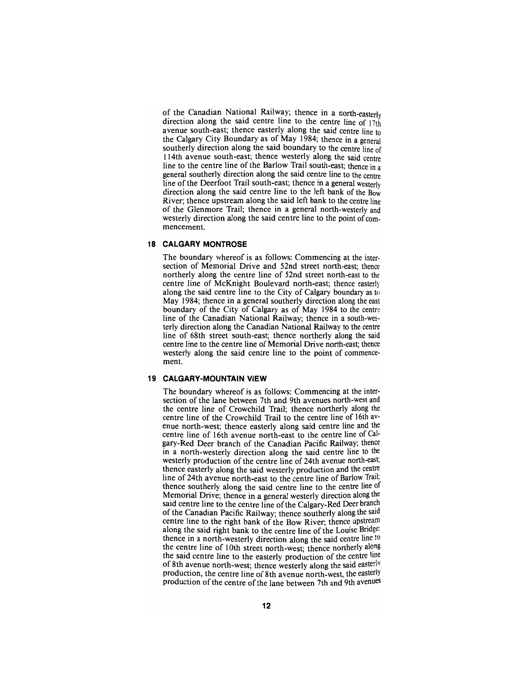of the Canadian National Railway; thence in a north-easteriy direction along the said centre line to the centre line of  $17th$ avenue south-east; thence easterly along the said centre line to the Calgary City Boundary as of May 1984; thence in a general southerly direction along the said boundary to the centre line of 114th avenue south-east; thence westerly along the said centre line to the centre line of the Barlow Trail south-east; thence in a general southerly direction along the said centre line to the centre line of the Deerfoot Trail south-east; thence in a general westerly direction along the said centre line to the left bank of the Bow River; thence upstream along the said left bank to the centre line of the Glenmore Trail; thence in a general north-westerly and westerly direction along the said centre line to the point of commencement.

## **18 CALGARY MONTROSE**

The boundary whereof is as follows: Commencing at the intersection of Memorial Drive and 52nd street north-east; thence northerly along the centre line of 52nd street north-east to the centre line of McKnight Boulevard north-east; thence easterly along the said centre line to the City of Calgary boundary as to May 1984; thence in a general southerly direction along the east boundary of the City of Calgary as of May 1984 to the centre line of the Canadian National Railway; thence in a south-westerly direction along the Canadian National Railway to the centre line of 68th street south-east; thence northerly along the said centre line to the centre line of Memorial Drive north-east; thence westerly along the said centre line to the point of commencement.

## **19 CALGARY-MOUNTAIN VIEW**

The boundary whereof is as follows: Commencing at the intersection of the lane between 7th and 9th avenues north-west and the centre line of Crowchild Trail; thence northerly along the centre line of the Crowchild Trail to the centre line of 16th avenue north-west; thence easterly along said centre line and the centre line of 16th avenue north-east to the centre line of Calgary-Red Deer branch of the Canadian Pacific Railway; thence in a north-westerly direction along the said centre line to the westerly production of the centre line of 24th avenue north-east; thence easterly along the said westerly production and the centre line of 24th avenue north-east to the centre line of Barlow Trail; thence southerly along the said centre line to the centre line of Memorial Drive; thence in a general westerly direction along the said centre line to the centre line of the Calgary-Red Deer branch of the Canadian Pacific Railway; thence southerly along the said centre line to the right bank of the Bow River; thence upstream along the said right bank to the centre line of the Louise Bridge: thence in a north-westerly direction along the said centre line to the centre line of 10th street north-west; thence northerly along the said centre line to the easterly production of the centre line of 8th avenue north-west; thence westerly along the said easterly production, the centre line of 8th avenue north-west, the easterly production of the centre of the lane between 7th and 9th avenues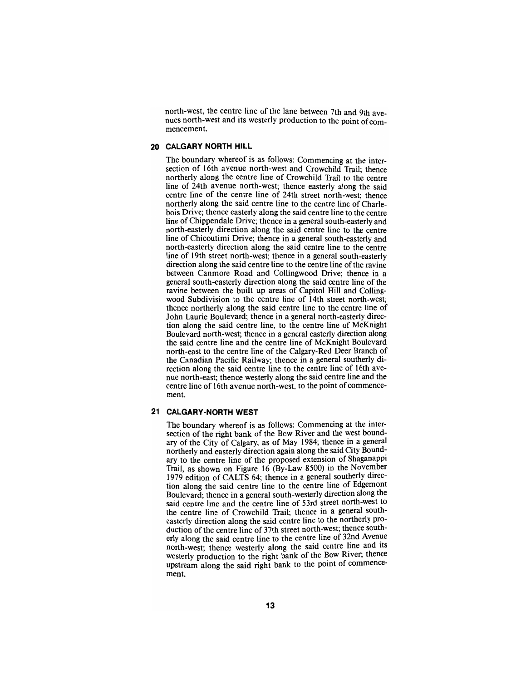north-west, the centre line of the lane between 7th and 9th ave- nues north-west and its westerly production to the point of com- mencement.

## **20 CALGARY NORTH HILL**

The boundary whereof is as follows: Commencing at the intersection of 16th avenue north-west and Crowchild Trail; thence northerly along the centre line of Crowchild Trail to the centre line of 24th avenue north-west; thence easteriy along the said centre line of the centre line of 24th street north-west; thence northeriy along the said centre line to the centre line of Chariebois Drive; thence easterly along the said centre line to the centre line of Chippendale Drive; thence in a general south-easterly and north-easterly direction along the said centre line to the centre line of Chicoutimi Drive; thence in a general south-easterly and north-easterly direction along the said centre line to the centre line of 19th street north-west; thence in a general south-easterly direction along the said centre line to the centre line of the ravine between Canmore Road and Collingwood Drive; thence in a general south-easterly direction along the said centre line of the ravine between the built up areas of Capitol Hill and Collingwood Subdivision to the centre line of 14th street north-west; thence northerly along the said centre line to the centre line of John Laurie Boulevard; thence in a general north-easterly direction along the said centre line, to the centre line of McKnight Boulevard north-west; thence in a general easterly direction along the said centre line and the centre line of McKnight Boulevard north-east to the centre line of the Calgary-Red Deer Branch of the Canadian Pacific Railway; thence in a general southeriy direction along the said centre line to the centre line of 16th avenue north-east; thence westerly along the said centre line and the centre line of 16th avenue north-west, to the point of commencement.

#### **21 CALGARY-NORTH WEST**

The boundary whereof is as follows: Commencing at the intersection of the right bank of the Bow River and the west boundary of the City of Calgary, as of May 1984; thence in a general northerly and easterly direction again along the said City Boundary to the centre line of the proposed extension of Shaganappi Trail, as shown on Figure 16 (By-Law 8500) in the November 1979 edition of CALTS 64; thence in a general southerly direction along the said centre line to the centre line of Edgemont Boulevard; thence in a general south-westerly direction along the said centre line and the centre line of 53rd street north-west to the centre line of Crowchild Trail; thence in a general southeasterly direction along the said centre line to the northeriy production of the centre line of 37th street north-west; thence southerly along the said centre line to the centre line of 32nd Avenue north-west; thence westerly along the said centre line and its westeriy production to the right bank of the Bow River; thence upstream along the said right bank to the point of commencement.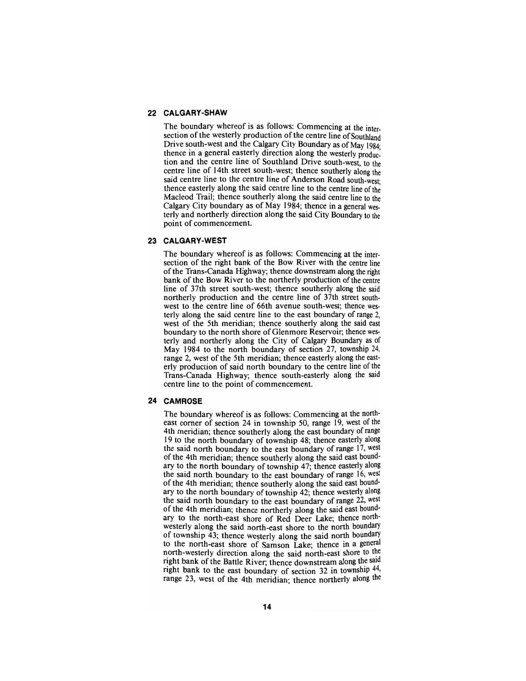## **22 CALGARY-SHAW**

The boundary whereof is as follows: Commencing at the intersection of the westerly production of the centre line of Southland Drive south-west and the Calgary City Boundary as of May 1984. thence in a general easterly direction along the westeriy production and the centre line of Southland Drive south-west, to the centre line of 14th street south-west; thence southerly along the said centre line to the centre line of Anderson Road south-west: thence easterly along the said centre line to the centre line of the Macleod Trail; thence southerly along the said centre line to the Calgary City boundary as of May 1984; thence in a general westerly and northerly direction along the said City Boundary to the point of commencement.

## **23 CALGARY-WEST**

The boundary whereof is as follows: Commencing at the intersection of the right bank of the Bow River with the centre line ofthe Trans-Canada Highway; thence downstream along the right bank of the Bow River to the northerly production of the centre line of 37th street south-west; thence southerly along the said northerly production and the centre line of 37th street southwest to the centre line of 66th avenue south-west; thence westerly along the said centre line to the east boundary of range 2, west of the 5th meridian; thence southeriy along the said east boundary to the north shore of Glenmore Reservoir; thence westerly and northerly along the City of Calgary Boundary as of May 1984 to the north boundary of section 27, township 24, range 2, west of the 5th meridian; thence easterly along the easterly production of said north boundary to the centre line of the Trans-Canada Highway; thence south-easterly along the said centre line to the point of commencement.

#### **24 CAMROSE**

The boundary whereof is as follows: Commencing at the northeast corner of section 24 in township 50, range 19, west of the 4th meridian; thence southerly along the east boundary of range 19 to the north boundary of township 48; thence easterly along the said north boundary to the east boundary of range 17, west of the 4th meridian; thence southerly along the said east boundary to the north boundary of township 47; thence easteriy along the said north boundary to the east boundary of range 16, west of the 4th meridian; thence southerly along the said east boundary to the north boundary of township 42; thence westerly along the said north boundary to the east boundary of range 22, west of the 4th meridian; thence northerly along the said east boundary to the north-east shore of Red Deer Lake; thence northwesterly along the said north-east shore to the north boundary of township 43; thence westerly along the said north boundary to the north-east shore of Samson Lake; thence in a general north-westerly direction along the said north-east shore to the right bank of the Battle River; thence downstream along the said right bank to the east boundary of section 32 in township 44, range 23, west of the 4th meridian; thence northerly along the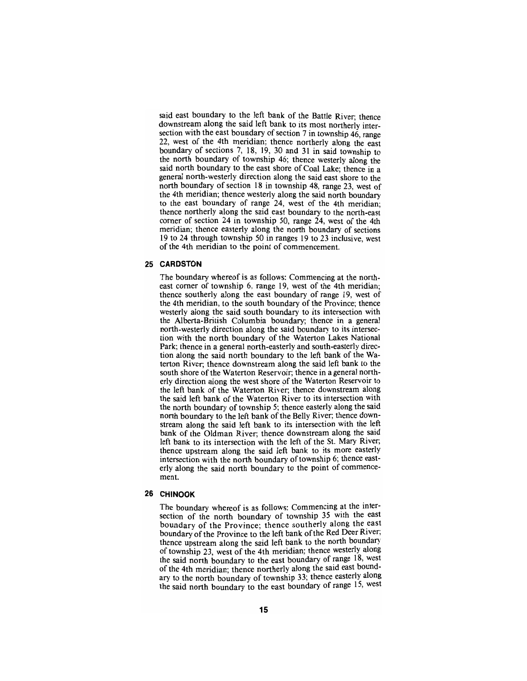said east boundary to the left bank of the Battle River; thence downstream along the said left bank to its most northerly intersection with the east boundary of section 7 in township 46, range 22, west of the 4th meridian; thence northerly along the east boundary of sections 7, 18, 19, 30 and 31 in said township to the north boundary of township 46; thence westerly along the said north boundary to the east shore of Coal Lake; thence in a general north-westerly direction along the said east shore to the north boundary of section 18 in township 48, range 23, west of the 4th meridian; thence westerly along the said north boundary to the east boundary of range 24, west of the 4th meridian; thence northerly along the said east boundary to the north-east comer of section 24 in township 50, range 24, west of the 4th meridian; thence easterly along the north boundary of sections 19 to 24 through township 50 in ranges 19 to 23 inclusive, west of the 4th meridian to the point of commencement.

## **25 CARDSTON**

The boundary whereof is as follows: Commencing at the northeast corner of township 6, range 19, west of the 4th meridian; thence southerly along the east boundary of range 19, west of the 4th meridian, to the south boundary of the Province; thence westerly along the said south boundary to its intersection with the Alberta-British Columbia boundary; thence in a general north-westerly direction along the said boundary to its intersection with the north boundary of the Waterton Lakes National Park; thence in a general north-easterly and south-easteriy direction along the said north boundary to the left bank of the Waterton River; thence downstream along the said left bank to the south shore of the Waterton Reservoir; thence in a general northerly direction along the west shore of the Waterton Reservoir to the left bank of the Waterton River; thence downstream along the said left bank of the Waterton River to its intersection with the north boundary of township 5; thence easteriy along the said north boundary to the left bank of the Belly River; thence downstream along the said left bank to its intersection with the left bank of the Oldman River; thence downstream along the said left bank to its intersection with the left of the St. Mary River; thence upstream along the said left bank to its more easterly intersection with the north boundary of township 6; thence easteriy along the said north boundary to the point of commencement.

## **26 CHINOOK**

The boundary whereof is as follows: Commencing at the intersection of the north boundary of township 35 with the east boundary of the Province; thence southerly along the east boundary of the Province to the left bank of the Red Deer River; thence upstream along the said left bank to the north boundary of township 23, west of the 4th meridian; thence westerly along the said north boundary to the east boundary of range 18, west of the 4th meridian; thence northerly along the said east boundary to the north boundary of township 33; thence easterly along the said north boundary to the east boundary of range 15, west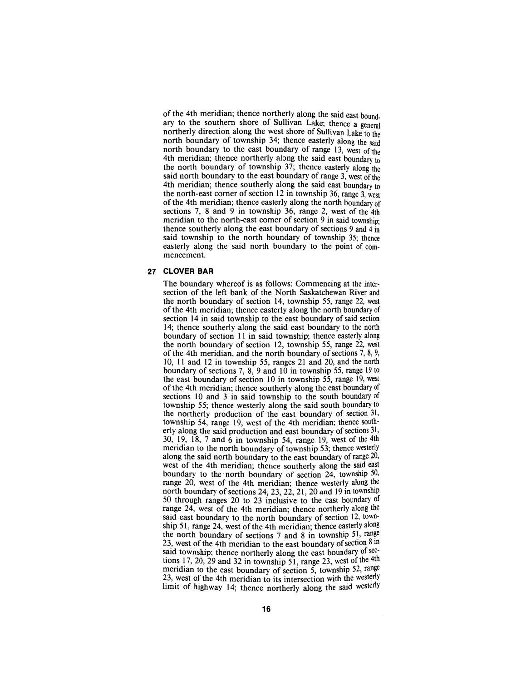of the 4th meridian; thence northerly along the said east boundary to the southern shore of Sullivan Lake; thence a general northerly direction along the west shore of Sullivan Lake to the north boundary of township 34; thence easterly along the said north boundary to the east boundary of range 13, west of the 4th meridian; thence northerly along the said east boundary to the north boundary of township 37; thence easterly along the said north boundary to the east boundary of range 3, west of the 4th meridian; thence southerly along the said east boundary to the north-east comer of section 12 in township 36, range 3, west of the 4th meridian; thence easterly along the north boundary of sections 7, 8 and 9 in township 36, range 2, west of the 4th meridian to the north-east comer of section 9 in said township; thence southerly along the east boundary of sections 9 and 4 in said township to the north boundary of township 35; thence easterly along the said north boundary to the point of commencement.

## **27 CLOVER BAR**

The boundary whereof is as follows: Commencing at the inter- section of the left bank of the North Saskatchewan River and the north boundary of section 14, township 55, range 22, west of the 4th meridian; thence easterly along the north boundary of section 14 in said township to the east boundary of said section 14; thence southerly along the said east boundary to the north boundary of section 11 in said township; thence easterly along the north boundary of section 12, township 55, range 22, west of the 4th meridian, and the north boundary of sections 7, 8, 9, 10, 11 and 12 in township 55, ranges 21 and 20, and the north boundary of sections 7, 8, 9 and 10 in township 55, range 19 to the east boundary of section 10 in township 55, range 19, west of the 4th meridian; thence southerly along the east boundary of sections 10 and 3 in said township to the south boundary of township 55; thence westerly along the said south boundary to the northerly production of the east boundary of section 31,<br>township 54, range 19, west of the 4th meridian; thence south-<br>erly along the said production and east boundary of sections 31,<br>30, 19, 18, 7 and 6 in township 5 meridian to the north boundary of township 53; thence westerly along the said north boundary to the east boundary of range 20, west of the 4th meridian; thence southerly along the said east boundary to the north boundary of section 24, township 50, range 20, west of the 4th meridian; thence westerly along the north boundary of sections 24, 23, 22, 21, 20 and 19 in township 50 through ranges 20 to 23 inclusive to the east boundary of range 24, west of the 4th meridian; thence northeriy along the said east boundary to the north boundary of section 12, town-<br>ship 51, range 24, west of the 4th meridian; thence easterly along the north boundary of sections 7 and 8 in township 51, range 23, west of the 4th meridian to the east boundary of section  $8 \text{ in}$ said township; thence northerly along the east boundary of sections 17, 20, 29 and 32 in township 51, range 23, west of the  $4th$ meridian to the east boundary of section 5, township 52, range 23, west of the 4th meridian to its intersection with the westerly limit of highway 14; thence northerly along the said westerly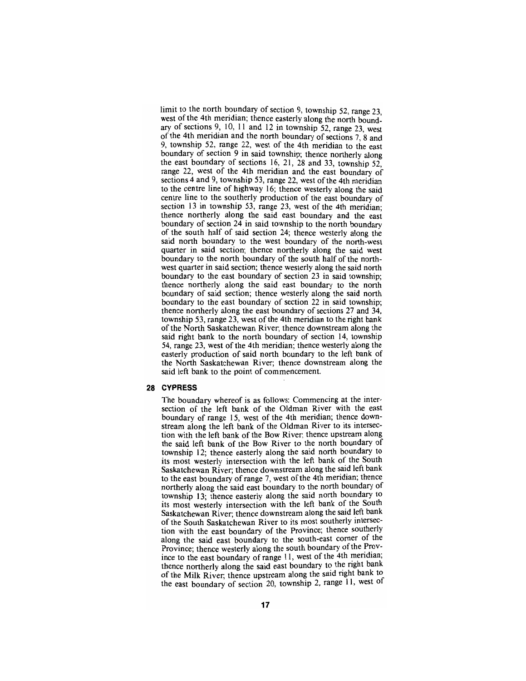limit to the north boundary of section 9, township 52, range  $23$ . west of the 4th meridian; thence easterly along the north boundary of sections 9, 10, 11 and 12 in township 52, range 23, west of the 4th meridian and the north boundary of sections 7,  $\delta$  and 9, township 52, range 22, west of the 4th meridian to the east boundary of section 9 in said township; thence northeriy along the east boundary of sections 16, 21, 28 and 33, township 52, range 22, west of the 4th meridian and the east boundary of sections 4 and 9, township 53, range 22, west of the 4th meridian to the centre line of highway 16; thence westeriy along the said centre line to the southeriy production of the east boundary of section  $13$  in township 53, range 23, west of the 4th meridian; thence northerly along the said east boundary and the east boundary of section 24 in said township to the north boundary of the south half of said section 24; thence westeriy along the said north boundary to the west boundary of the north-west quarter in said section; thence northerly along the said west boundary to the north boundary of the south half of the northwest quarter in said section; thence westeriy along the said north boundary to the east boundary of section 23 in said township; thence northerly along the said east boundary to the north boundary of said section; thence westerly along the said north boundary to the east boundary of section 22 in said township; thence northerly along the east boundary of sections 27 and 34, township 53, range 23, west of the 4th meridian to the right bank of the North Saskatchewan River; thence downstream along the said right bank to the north boundary of section 14, township 54, range 23, west of the 4th meridian; thence westerly along the easterly production of said north boundary to the left bank of the North Saskatchewan River; thence downstream along the said left bank to the point of commencement.

#### **28 CYPRESS**

The boundary whereof is as follows: Commencing at the intersection of the left bank of the Oldman River with the east boundary of range 15, west of the 4th meridian; thence downstream along the left bank of the Oldman River to its intersection with the left bank of the Bow River; thence upstream along the said left bank of the Bow River to the north boundary of township 12; thence easterly along the said north boundary to its most westerly intersection with the left bank of the South Saskatchewan River; thence downstream along the said left bank to the east boundary of range 7, west of the 4th meridian; thence northerly along the said east boundary to the north boundary of township 13; thence easterly along the said north boundary to its most westerly intersection with the left bank of the South Saskatchewan River; thence downstream along the said left bank of the South Saskatchewan River to its most southeriy intersection with the east boundary of the Province; thence southeriy along the said east boundary to the south-east comer of the Province; thence westerly along the south boundary of the Province to the east boundary of range 11, west of the 4th meridian; thence northerly along the said east boundary to the right bank of the Milk River; thence upstream along the said right bank to the east boundary of section 20, township 2, range 11, west of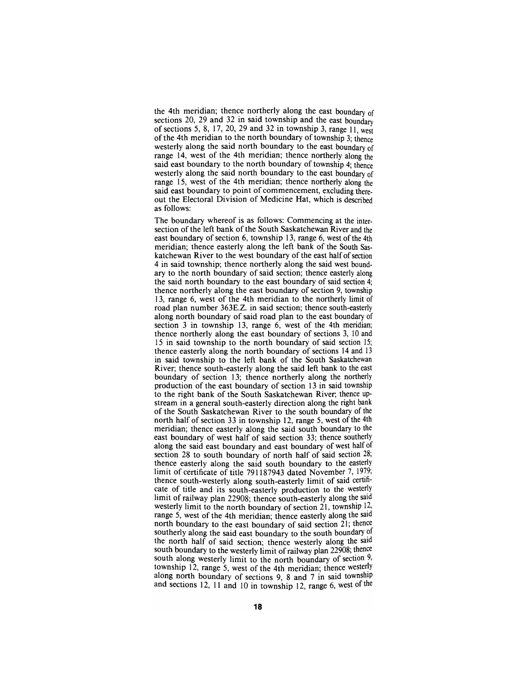the 4th meridian; thence northerly along the east boundary of sections 20, 29 and 32 in said township and the east boundary of sections 5, 8, 17, 20, 29 and 32 in township 3, range 11, west of the 4th meridian to the north boundary of township 3; thence westerly along the said north boundary to the east boundary of range 14, west of the 4th meridian; thence northerly along the said east boundary to the north boundary of township 4; thence westerly along the said north boundary to the east boundary of range 15, west of the 4th meridian; thence northerly along the said east boundary to point of commencement, excluding thereout the Electoral Division of Medicine Hat, which is described as follows:

The boundary whereof is as follows: Commencing at the inter-<br>section of the left bank of the South Saskatchewan River and the east boundary of section 6, township 13, range 6, west of the 4th meridian; thence easterly along the left bank of the South Sas-<br>katchewan River to the west boundary of the east half of section 4 in said township; thence northerly along the said west bound- ary to the north boundary of said section; thence easterly along the said north boundary to the east boundary of said section 4; thence northerly along the east boundary of section 9, township 13, range 6, west of the 4th meridian to the northerly limit of road plan number 363E.Z. in said section; thence south-easterly along north boundary of said road plan to the east boundary of section 3 in township 13, range 6, west of the 4th meridian; thence northerly along the east boundary of sections 3, 10 and 15 in said township to the north boundary of said section 15; thence easterly along the north boundary of sections 14 and 13 in said township to the left bank of the South Saskatchewan River; thence south-easterly along the said left bank to the east boundary of section 13; thence northerly along the northerly production of the east boundary of section 13 in said township to the right bank of the South Saskatchewan River; thence up- stream in a general south-easterly direction along the right bank of the South Saskatchewan River to the south boundary of the north half of section 33 in township 12, range 5, west of the 4th meridian; thence easterly along the said south boundary to the east boundary of west half of said section 33; thence southerly along the said east boundary and east boundary of west half of section 28 to south boundary of north half of said section 28; thence easterly along the said south boundary to the easteriy limit of certificate of title 791187943 dated November 7, 1979; thence south-westerly along south-easterly limit of said certifi- cate of title and its south-easterly production to the westerly limit of railway plan 22908; thence south-easteriy along the said westerly limit to the north boundary of section 21, township  $12$ , range 5, west of the 4th meridian; thence easterly along the said north boundary to the east boundary of said section 21; thence southerly along the said east boundary to the south boundary of the north half of said section; thence westerly along the said south boundary to the westerly limit of railway plan 22908; thence south along westerly limit to the north boundary of section  $9$ , township 12, range 5, west of the 4th meridian; thence westerly along north boundary of sections 9, 8 and 7 in said township and sections 12, 11 and 10 in township 12, range 6, west of the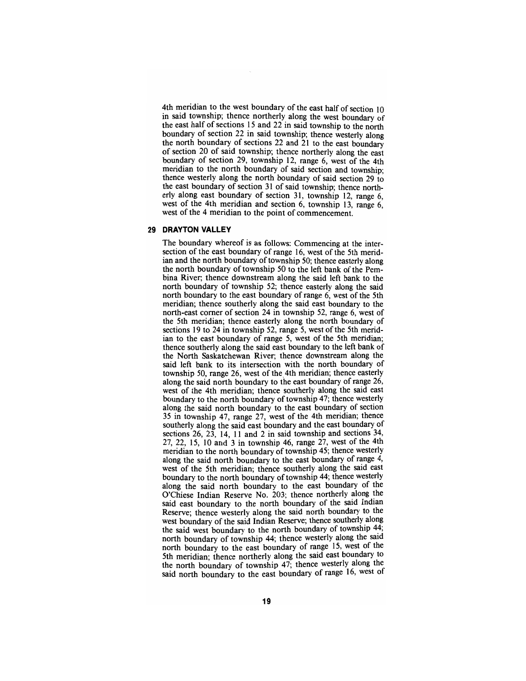4th meridian to the west boundary of the east half of section 10 in said township; thence northerly along the west boundary of the east half of sections 15 and 22 in said township to the north boundary of section 22 in said township; thence westerly along the north boundary of sections 22 and 21 to the east boundary of section 20 of said township; thence northerly along the east boundary of section 29, township 12, range 6, west of the 4th meridian to the north boundary of said section and township; thence westerly along the north boundary of said section 29 to the east boundary of section 31 of said township; thence northerly along east boundary of section 31, township 12, range 6, west of the 4th meridian and section 6, township 13, range 6, west of the 4 meridian to the point of commencement.

## **29 DRAYTON VALLEY**

The boundary whereof is as follows: Commencing at the intersection of the east boundary of range 16, west of the 5th meridian and the north boundary of township 50; thence easterly along the north boundary of township 50 to the left bank of the Pembina River; thence downstream along the said left bank to the north boundary of township 52; thence easterly along the said north boundary to the east boundary of range 6, west of the 5th meridian; thence southerly along the said east boundary to the north-east comer of section 24 in township 52, range 6, west of the 5th meridian; thence easterly along the north boundary of sections 19 to 24 in township 52, range 5, west of the 5th meridian to the east boundary of range 5, west of the 5th meridian; thence southerly along the said east boundary to the left bank of the North Saskatchewan River; thence downstream along the said left bank to its intersection with the north boundary of township 50, range 26, west of the 4th meridian; thence easterly along the said north boundary to the east boundary of range 26, west of the 4th meridian; thence southerly along the said east boundary to the north boundary of township 47; thence westeriy along the said north boundary to the east boundary of section 35 in township 47, range 27, west of the 4th meridian; thence southerly along the said east boundary and the east boundary of sections 26, 23, 14, 11 and 2 in said township and sections 34, 27, 22, 15, 10 and 3 in township 46, range 27, west of the 4th meridian to the north boundary of township 45; thence westerly along the said north boundary to the east boundary of range 4, west of the 5th meridian; thence southeriy along the said east boundary to the north boundary of township 44; thence westerly along the said north boundary to the east boundary of the O'Chiese Indian Reserve No. 203; thence northeriy along the said east boundary to the north boundary of the said Indian Reserve; thence westeriy along the said north boundary to the west boundary of the said Indian Reserve; thence southerly along the said west boundary to the north boundary of township 44; north boundary of township 44; thence westerly along the said north boundary to the east boundary of range 15, west of the 5th meridian; thence northeriy along the said east boundary to the north boundary of township 47; thence westerly along the said north boundary to the east boundary of range 16, west ot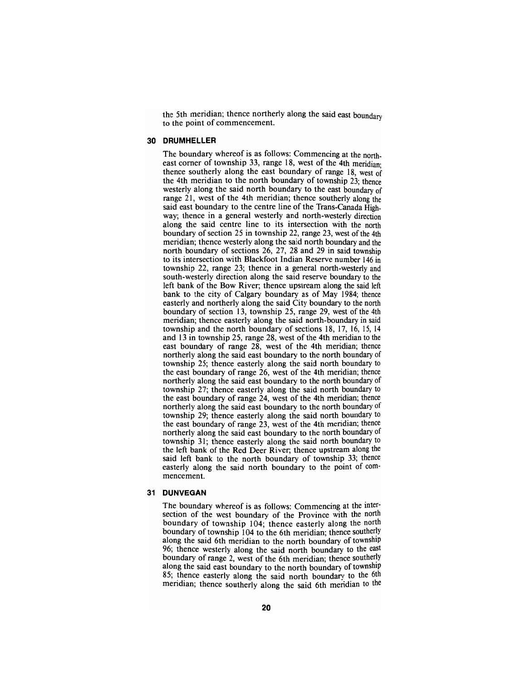the 5th meridian; thence northerly along the said east boundary to the point of commencement.

#### **30 DRUMHELLER**

The boundary whereof is as follows: Commencing at the northeast corner of township 33, range 18, west of the 4th meridian; thence southerly along the east boundary of range 18, west of the 4th meridian to the north boundary of township 23; thence westerly along the said north boundary to the east boundary of range 21, west of the 4th meridian; thence southerly along the said east boundary to the centre line of the Trans-Canada Highway; thence in a general westerly and north-westerly direction along the said centre line to its intersection with the north boundary of section 25 in township 22, range 23, west of the 4th meridian; thence westerly along the said north boundary and the north boundary of sections 26, 27, 28 and 29 in said township to its intersection with Blackfoot Indian Reserve number 146 in township 22, range 23; thence in a general north-westerly and south-westerly direction along the said reserve boundary to the left bank of the Bow River; thence upstream along the said left bank to the city of Calgary boundary as of May 1984; thence easterly and northerly along the said City boundary to the north boundary of section 13, township 25, range 29, west of the 4th meridian; thence easterly along the said north-boundary in said township and the north boundary of sections 18, 17, 16, 15, 14 and 13 in township 25, range 28, west of the 4th meridian to the east boundary of range 28, west of the 4th meridian; thence northerly along the said east boundary to the north boundary of township 25; thence easterly along the said north boundary to the east boundary of range 26, west of the 4th meridian; thence northerly along the said east boundary to the north boundary of township 27; thence easterly along the said north boundary to the east boundary of range 24, west of the 4th meridian; thence northerly along the said east boundary to the north boundary of township 29; thence easterly along the said north boundary to the east boundary of range 23, west of the 4th meridian; thence northerly along the said east boundary to the north boundary of township 31; thence easterly along the said north boundary to the left bank of the Red Deer River; thence upstream along the said left bank to the north boundary of township 33; thence easterly along the said north boundary to the point of commencement.

## **31 DUNVEGAN**

The boundary whereof is as follows: Commencing at the intersection of the west boundary of the Province with the north boundary of township 104; thence easterly along the north boundary of township 104 to the 6th meridian; thence southeriy along the said 6th meridian to the north boundary of township 96; thence westerly along the said north boundary to the east boundary of range 2, west of the 6th meridian; thence southerly along the said east boundary to the north boundary of township 85; thence easterly along the said north boundary to the 6th meridian; thence southeriy along the said 6th meridian to the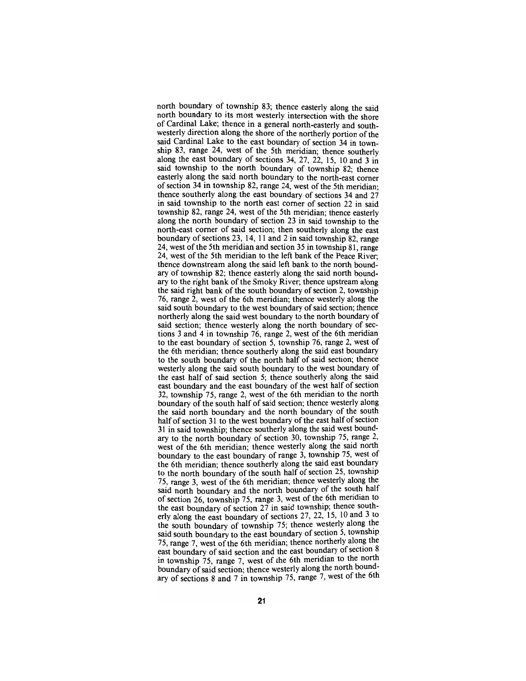north boundary of township 83; thence easterly along the said north boundary to its most westerly intersection with the shore of Cardinal Lake; thence in a general north-easterly and southwesterly direction along the shore of the northerly portion of the said Cardinal Lake to the east boundary of section 34 in township 83, range 24, west of the 5th meridian; thence southeriy along the east boundary of sections 34, 27, 22, 15, 10 and 3 in said township to the north boundary of township 82; thence easterly along the said north boundary to the north-east comer of section 34 in township 82, range 24, west of the 5th meridian; thence southerly along the east boundary of sections 34 and 27 in said township to the north east comer of section 22 in said township 82, range 24, west of the 5th meridian; thence easterly along the north boundary of section 23 in said township to the north-east comer of said section; then southerly along the east boundary of sections 23, 14, 11 and 2 in said township 82, range 24, west of the 5th meridian and section 35 in township 81, range 24, west of the 5th meridian to the left bank of the Peace River; thence downstream along the said left bank to the north boundary of township 82; thence easterly along the said north boundary to the right bank of the Smoky River; thence upstream along the said right bank of the south boundary of section 2, township 76, range 2, west of the 6th meridian; thence westerly along the said south boundary to the west boundary of said section; thence northerly along the said west boundary to the north boundary of said section; thence westerly along the north boundary of sections 3 and 4 in township 76, range 2, west of the 6th meridian to the east boundary of section 5, township 76, range 2, west of the 6th meridian; thence southerly along the said east boundary to the south boundary of the north half of said section; thence westerly along the said south boundary to the west boundary of the east half of said section 5; thence southerly along the said east boundary and the east boundary of the west half of section 32, township 75, range 2, west of the 6th meridian to the north boundary of the south half of said section; thence westerly along the said north boundary and the north boundary of the south half of section 31 to the west boundary of the east half of section 31 in said township; thence southeriy along the said west boundary to the north boundary of section 30, township 75, range 2, west of the 6th meridian; thence westerly along the said north boundary to the east boundary of range 3, township 75, west of the 6th meridian; thence southeriy along the said east boundary to the north boundary of the south half of section 25, township 75, range 3, west of the 6th meridian; thence westerly along the said north boundary and the north boundary of the south half of section 26, township 75, range 3, west of the 6th meridian to the east boundary of section  $27$  in said township; thence southerly along the east boundary of sections 27, 22, 15, 10 and 3 to the south boundary of township 75; thence westeriy along the said south boundary to the east boundary of section 5, township 75, range 7, west of the 6th meridian; thence northerly along the east boundary of said section and the east boundary of section 8 in township 75, range 7, west of the 6th meridian to the north boundary of said section; thence westeriy along the north boundary of sections  $8$  and  $7$  in township 75, range  $7$ , west of the 6th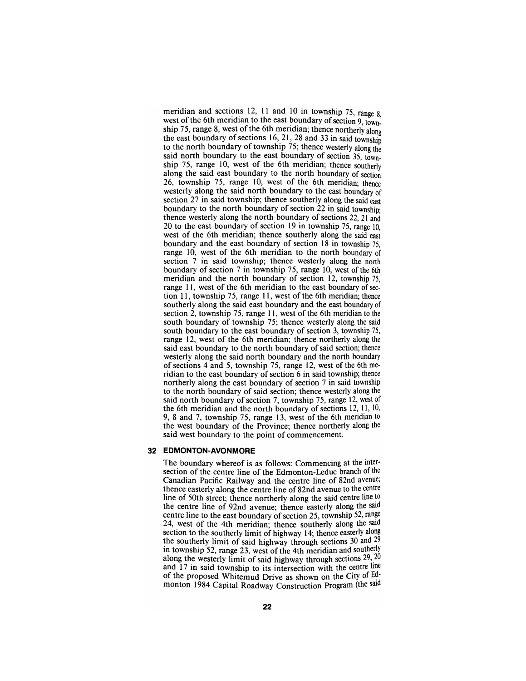meridian and sections 12, 11 and 10 in township 75, range  $8$ west of the 6th meridian to the east boundary of section 9, township 75, range 8, west of the 6th meridian; thence northerly along the east boundary of sections 16, 21, 28 and 33 in said township to the north boundary of township 75; thence westerly along the said north boundary to the east boundary of section 35, township 75, range 10, west of the 6th meridian; thence southeriy along the said east boundary to the north boundary of section 26, township 75, range 10, west of the 6th meridian; thence westerly along the said north boundary to the east boundary of section 27 in said township; thence southerly along the said east boundary to the north boundary of section 22 in said township; thence westerly along the north boundary of sections 22, 21 and 20 to the east boundary of section 19 in township 75, range 10, west of the 6th meridian; thence southerly along the said east boundary and the east boundary of section 18 in township 75, range 10, west of the 6th meridian to the north boundary of section 7 in said township; thence westerly along the north boundary of section  $7$  in township  $75$ , range 10, west of the 6th meridian and the north boundary of section 12, township 75, range 11, west of the 6th meridian to the east boundary of section 11, township 75, range 11, west of the 6th meridian; thence southerly along the said east boundary and the east boundary of section 2, township 75, range 11, west of the 6th meridian to the south boundary of township 75; thence westerly along the said south boundary to the east boundary of section 3, township 75, range 12, west of the 6th meridian; thence northerly along the said east boundary to the north boundary of said section; thence westerly along the said north boundary and the north boundary of sections 4 and 5, township 75, range 12, west of the 6th meridian to the east boundary of section 6 in said township; thence northerly along the east boundary of section 7 in said township to the north boundary of said section; thence westerly along the said north boundary of section 7, township 75, range 12, west of the 6th meridian and the north boundary of sections 12, 11, 10, 9, 8 and 7, township 75, range 13, west of the 6th meridian to the west boundary of the Province; thence northerly along the said west boundary to the point of commencement.

#### **32 EDMONTON-AVONMORE**

The boundary whereof is as follows: Commencing at the intersection of the centre line of the Edmonton-Leduc branch of the Canadian Pacific Railway and the centre line of 82nd avenue; thence easterly along the centre line of 82nd avenue to the centre line of 50th street; thence northerly along the said centre line to the centre line of 92nd avenue; thence easterly along the said centre line to the east boundary of section 25, township 52, range 24, west of the 4th meridian; thence southerly along the said section to the southeriy limit of highway 14; thence easterly along the southerly limit of said highway through sections 30 and 29 in township 52, range 23, west of the 4th meridian and southerly along the westerly limit of said highway through sections  $29, 20$ and 17 in said township to its intersection with the centre line of the proposed Whitemud Drive as shown on the City of Edmonton 1984 Capital Roadway Construction Program (the said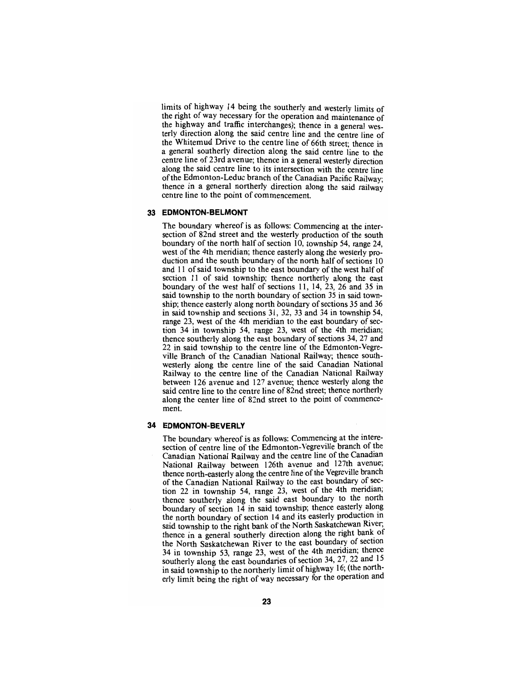limits of highway 14 being the southeriy and westeriy limits of the right of way necessary for the operation and maintenance of the highway and traffic interchanges); thence in a general westerly direction along the said centre line and the centre line of the Whitemud Drive to the centre line of 66th street; thence in a general southerly direction along the said centre line to the centre line of 23rd avenue; thence in a general westerly direction along the said centre line to its intersection with the centre line of the Edmonton-Leduc branch of the Canadian Pacific Railway; thence in a general northerly direction along the said railway centre line to the point of commencement.

## **33 EDMONTON-BELMONT**

The boundary whereof is as follows: Commencing at the intersection of 82nd street and the westerly production of the south boundary of the north half of section 10, township 54, range 24, west of the 4th meridian; thence easterly along the westerly production and the south boundary of the north half of sections 10 and 11 of said township to the east boundary of the west half of section 11 of said township; thence northerly along the east boundary of the west half of sections 11, 14, 23, 26 and 35 in said township to the north boundary of section 35 in said township; thence easterly along north boundary of sections 35 and 36 in said township and sections 31, 32, 33 and 34 in township 54, range 23, west of the 4th meridian to the east boundary of section 34 in township 54, range 23, west of the 4th meridian; thence southerly along the east boundary of sections 34, 27 and 22 in said township to the centre line of the Edmonton-Vegreville Branch of the Canadian National Railway; thence southwesterly along the centre line of the said Canadian National Railway to the centre line of the Canadian National Railway between 126 avenue and 127 avenue; thence westerly along the said centre line to the centre line of 82nd street; thence northeriy along the center line of 82nd street to the point of commencement.

#### **34 EDMONTON-BEVERLY**

The boundary whereof is as follows: Commencing at the interesection of centre line of the Edmonton-Vegreville branch of the Canadian National Railway and the centre line of the Canadian National Railway between 126th avenue and 127th avenue; thence north-easterly along the centre line of the Vegreville branch of the Canadian National Railway to the east boundary of section 22 in township 54, range 23, west of the 4th mendian; thence southerly along the said east boundary to the north boundary of section  $14$  in said township; thence easterly along the north boundary of section 14 and its easteriy production in said township to the right bank of the North Saskatchewan River; thence in a general southerly direction along the right bank of the North Saskatchewan River to the east boundary of section 34 in township 53, range 23, west of the 4th mendian; thence southerly along the east boundaries of section 34, 27, 22 and 15 in said township to the northeriy limit of highway 16; (the nortnerly limit being the right of way necessary for the operation ana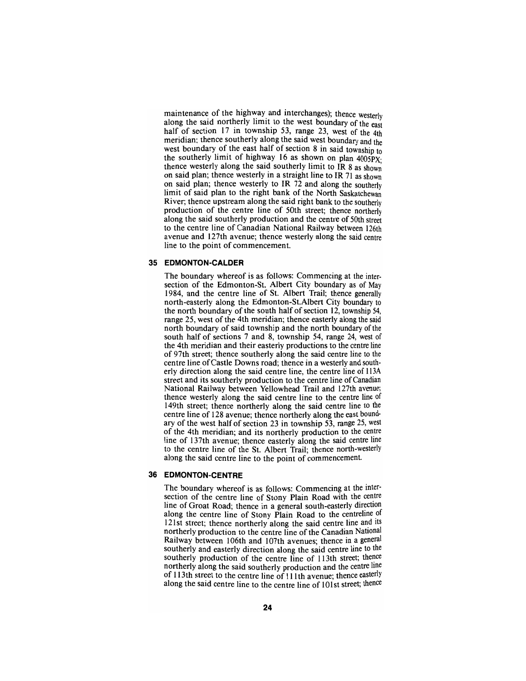maintenance of the highway and interchanges); thence westerly along the said northerly limit to the west boundary of the east half of section 17 in township 53, range 23, west of the 4th meridian; thence southerly along the said west boundary and the west boundary of the east half of section 8 in said township to the southerly limit of highway 16 as shown on plan 4005PX' thence westerly along the said southerly limit to IR 8 as shown on said plan; thence westerly in a straight line to IR 71 as shown on said plan; thence westerly to IR 72 and along the southerly limit of said plan to the right bank of the North Saskatchewan River; thence upstream along the said right bank to the southeriy production of the centre line of 50th street; thence northeriy along the said southerly production and the centre of 50th street to the centre line of Canadian National Railway between 126th avenue and 127th avenue; thence westerly along the said centre line to the point of commencement.

## **35 EDMONTON-CALDER**

The boundary whereof is as follows: Commencing at the inter- section of the Edmonton-St. Albert City boundary as of May 1984, and the centre line of St. Albert Trail; thence generally north-easterly along the Edmonton-St.Albert City boundary to the north boundary of the south half of section 12, township 54, range 25, west of the 4th meridian; thence easterly along the said north boundary of said township and the north boundary of the south half of sections 7 and 8, township 54, range 24, west of the 4th meridian and their easterly productions to the centre line of 97th street; thence southerly along the said centre line to the centre line of Castle Downs road; thence in a westerly and south- erly direction along the said centre line, the centre line of 113A street and its southerly production to the centre line of Canadian National Railway between Yellowhead Trail and 127th avenue; thence westerly along the said centre line to the centre line of 149th street; thence northerly along the said centre line to the centre line of 128 avenue; thence northerly along the east bound-<br>ary of the west half of section 23 in township 53, range 25, west of the 4th meridian; and its northerly production to the centre line of 137th avenue; thence easterly along the said centre line to the centre line of the St. Albert Trail; thence north-westerly along the said centre line to the point of commencement.

#### **36 EDMONTON-CENTRE**

The boundary whereof is as follows: Commencing at the intersection of the centre line of Stony Plain Road with the centre line of Groat Road; thence in a general south-easteriy direction along the centre line of Stony Plain Road to the centreline of 121st street; thence northerly along the said centre line and its northerly production to the centre line of the Canadian National Railway between 106th and 107th avenues; thence in a general southeriy and easterly direction along the said centre line to the southerly production of the centre line of 113th street; thence northeriy along the said southeriy production and the centre line of 113th street to the centre line of 111th avenue; thence easterly along the said centre line to the centre line of 101st street; thence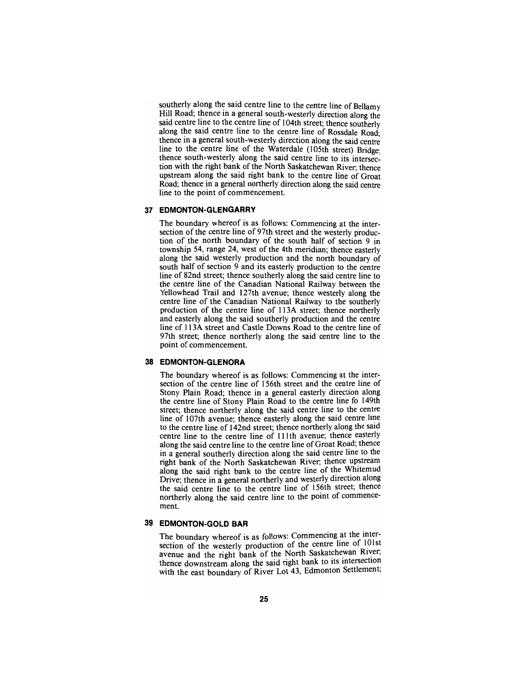southerly along the said centre line to the centre line of Bellamy Hill Road; thence in a general south-westeriy direction along the said centre line to the centre line of 104th street; thence southeriy along the said centre line to the centre line of Rossdale Road; thence in a general south-westeriy direction along the said centre line to the centre line of the Waterdale (105th street) Bridge; thence south-westerly along the said centre line to its intersection with the right bank of the North Saskatchewan River; thence upstream along the said right bank to the centre line of Groat Road; thence in a general northeriy direction along the said centre line to the point of commencement.

#### **37 EDMONTON-GLENGARRY**

The boundary whereof is as follows: Commencing at the intersection of the centre line of 97th street and the westerly production of the north boundary of the south half of section 9 in township 54, range 24, west of the 4th meridian; thence easterly along the said westerly production and the north boundary of south half of section 9 and its easteriy production to the centre line of 82nd street; thence southerly along the said centre line to the centre line of the Canadian National Railway between the Yellowhead Trail and 127th avenue; thence westerly along the centre line of the Canadian National Railway to the southerly production of the centre line of 113A street; thence northerly and easterly along the said southerly production and the centre line of 113A street and Castle Downs Road to the centre line of 97th street; thence northerly along the said centre line to the point of commencement.

## **38 EDMONTON-GLENORA**

The boundary whereof is as follows: Commencing at the intersection of the centre line of 156th street and the centre line of Stony Plain Road; thence in a general easterly direction along the centre line of Stony Plain Road to the centre line fo 149th street; thence northerly along the said centre line to the centre line of 107th avenue; thence easterly along the said centre line to the centre line of 142nd street; thence northerly along the said centre line to the centre line of 111th avenue; thence easteriy along the said centre line to the centre line of Groat Road; thence in a general southerly direction along the said centre line to the right bank of the North Saskatchewan River; thence upstream along the said right bank to the centre line of the Whitemud Drive; thence in a general northeriy and westeriy direction along the said centre line to the centre line of 156th street; thence northerly along the said centre line to the point of commencement.

## **39 EDMONTON-GOLD BAR**

The boundary whereof is as follows: Commencing at the intersection of the westeriy production of the centre line of 101st avenue and the right bank of the North Saskatchewan River; thence downstream along the said right bank to its intersection with the east boundary of River Lot 43, Edmonton Settlement;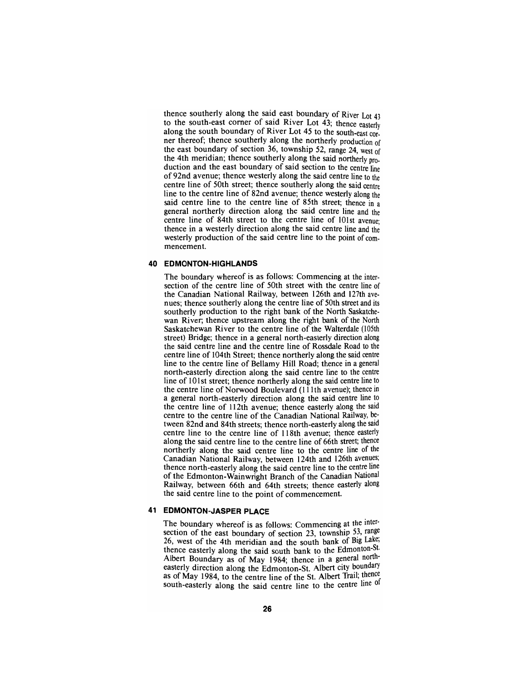thence southerly along the said east boundary of River Lot 43 to the south-east comer of said River Lot 43; thence easteriy along the south boundary of River Lot 45 to the south-east corner thereof; thence southerly along the northerly production of the east boundary of section 36, township 52, range 24, west of the 4th meridian; thence southerly along the said northeriy production and the east boundary of said section to the centre line of 92nd avenue; thence westerly along the said centre line to the centre line of 50th street; thence southerly along the said centre line to the centre line of 82nd avenue; thence westerly along the said centre line to the centre line of 85th street; thence in a general northerly direction along the said centre line and the centre line of 84th street to the centre line of 101st avenue; thence in a westerly direction along the said centre line and the westerly production of the said centre line to the point of commencement.

#### **40 EDMONTON-HIGHLANDS**

The boundary whereof is as follows: Commencing at the intersection of the centre line of 50th street with the centre line of the Canadian National Railway, between 126th and 127th avenues; thence southerly along the centre line of 50th street and its southerly production to the right bank of the North Saskatchewan River; thence upstream along the right bank of the North Saskatchewan River to the centre line of the Walterdale (105th street) Bridge; thence in a general north-easterly direction along the said centre line and the centre line of Rossdale Road to the centre line of 104th Street; thence northerly along the said centre line to the centre line of Bellamy Hill Road; thence in a general north-easterly direction along the said centre line to the centre line of 101st street; thence northerly along the said centre line to the centre line of Norwood Boulevard (111th avenue); thence in a general north-easterly direction along the said centre line to the centre line of 112th avenue; thence easterly along the said centre to the centre line of the Canadian National Railway, between 82nd and 84th streets; thence north-easteriy along the said centre line to the centre line of 118th avenue; thence easterly along the said centre line to the centre line of 66th street; thence northerly along the said centre line to the centre line of the Canadian National Railway, between 124th and 126th avenues; thence north-easterly along the said centre line to the centre line of the Edmonton-Wainwright Branch of the Canadian National Railway, between 66th and 64th streets; thence easterly along the said centre line to the point of commencement.

## **41 EDMONTON-JASPER PLACE**

The boundary whereof is as follows: Commencing at the intersection of the east boundary of section 23, township 53, range 26, west of the 4th meridian and the south bank of Big Lake; thence easterly along the said south bank to the Edmonton-St. Albert Boundary as of May 1984; thence in a general northeasterly direction along the Edmonton-St. Albert city boundary as of May 1984, to the centre line of the St. Albert Trail; thence south-easterly along the said centre line to the centre line of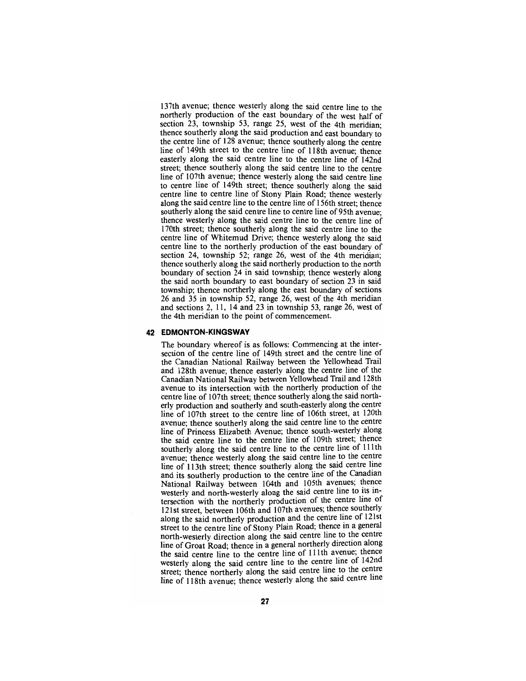137th avenue; thence westerly along the said centre line to the northeriy production of the east boundary of the west half of section 23, township 53, range 25, west of the 4th meridian: thence southerly along the said production and east boundary to the centre line of 128 avenue; thence southerly along the centre line of 149th street to the centre line of 118th avenue; thence easteriy along the said centre line to the centre line of 142nd street; thence southeriy along the said centre line to the centre line of 107th avenue; thence westeriy along the said centre line to centre line of 149th street; thence southerly along the said centre line to centre line of Stony Plain Road; thence westeriy along the said centre line to the centre line of 156th street; thence southerly along the said centre line to centre line of 95th avenue; thence westerly along the said centre line to the centre line of 170th street; thence southerly along the said centre line to the centre line of Whitemud Drive; thence westerly along the said centre line to the northerly production of the east boundary of section 24, township 52; range 26, west of the 4th meridian; thence southerly along the said northerly production to the north boundary of section 24 in said township; thence westerly along the said north boundary to east boundary of section 23 in said township; thence northerly along the east boundary of sections 26 and 35 in township 52, range 26, west of the 4th meridian and sections 2, 11, 14 and 23 in township 53, range 26, west of the 4th meridian to the point of commencement.

#### **42 EDMONTON-KINGSWAY**

The boundary whereof is as follows: Commencing at the intersection of the centre line of 149th street and the centre line of the Canadian National Railway between the Yellowhead Trail and 128th avenue; thence easterly along the centre line of the Canadian National Railway between Yellowhead Trail and 128th avenue to its intersection with the northerly production of the centre line of 107th street; thence southerly along the said northerly production and southerly and south-easterly along the centre line of 107th street to the centre line of 106th street, at 120th avenue; thence southerly along the said centre line to the centre line of Princess Elizabeth Avenue; thence south-westerly along the said centre line to the centre line of 109th street; thence southerly along the said centre line to the centre line of 111th avenue; thence westerly along the said centre line to the centre line of 113th street; thence southeriy along the said centre line and its southerly production to the centre line of the Canadian National Railway between 104th and 105th avenues; thence westerly and north-westerly along the said centre line to its intersection with the northerly production of the centre line of 121st street, between 106th and 107th avenues; thence southerly along the said northerly production and the centre line of 121st street to the centre line of Stony Plain Road; thence in a general north-westeriy direction along the said centre line to the centre line of Groat Road; thence in a general northeriy direction along the said centre line to the centre line of 111th avenue; thence westeriy along the said centre line to the centre line of 142nd street; thence northeriy along the said centre line to the centre line of 118th avenue; thence westerly along the said centre line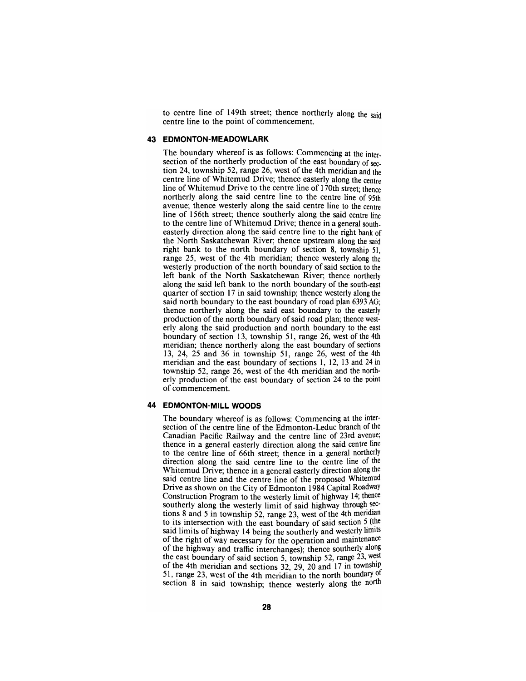to centre line of 149th street; thence northerly along the said centre line to the point of commencement.

#### **43 EDMONTON-MEADOWLARK**

The boundary whereof is as follows: Commencing at the intersection of the northerly production of the east boundary of section 24, township 52, range 26, west of the 4th meridian and the centre line of Whitemud Drive; thence easterly along the centre line of Whitemud Drive to the centre line of 170th street; thence northerly along the said centre line to the centre line of 95th avenue; thence westerly along the said centre line to the centre line of 156th street; thence southerly along the said centre line to the centre line of Whitemud Drive; thence in a general southeasterly direction along the said centre line to the right bank of the North Saskatchewan River; thence upstream along the said right bank to the north boundary of section 8, township 51, range 25, west of the 4th meridian; thence westerly along the westerly production of the north boundary of said section to the left bank of the North Saskatchewan River; thence northerly along the said left bank to the north boundary of the south-east quarter of section 17 in said township; thence westerly along the said north boundary to the east boundary of road plan 6393 AG; thence northerly along the said east boundary to the easteriy production of the north boundary of said road plan; thence westerly along the said production and north boundary to the east boundary of section 13, township 51, range 26, west of the 4th meridian; thence northerly along the east boundary of sections 13, 24, 25 and 36 in township 51, range 26, west of the 4th meridian and the east boundary of sections 1, 12, 13 and 24 in township 52, range 26, west of the 4th meridian and the northerly production of the east boundary of section 24 to the point of commencement.

#### **44 EDMONTON-MILL WOODS**

The boundary whereof is as follows: Commencing at the intersection of the centre line of the Edmonton-Leduc branch of the Canadian Pacific Railway and the centre line of 23rd avenue; thence in a general easterly direction along the said centre line to the centre line of 66th street; thence in a general northerly direction along the said centre line to the centre line of the Whitemud Drive; thence in a general easterly direction along the said centre line and the centre line of the proposed Whitemud Drive as shown on the City of Edmonton 1984 Capital Roadway Construction Program to the westerly limit of highway 14; thence southerly along the westerly limit of said highway through sections 8 and 5 in township  $52$ , range 23, west of the 4th meridian to its intersection with the east boundary of said section 5 (the said limits of highway 14 being the southerly and westeriy limits of the right of way necessary for the operation and maintenance of the highway and traffic interchanges); thence southeriy along the east boundary of said section 5, township 52, range 23, west of the 4th meridian and sections  $32$ ,  $29$ ,  $20$  and  $17$  in township 51, range 23, west of the 4th meridian to the north boundary  $\sigma$ section 8 in said township; thence westerly along the north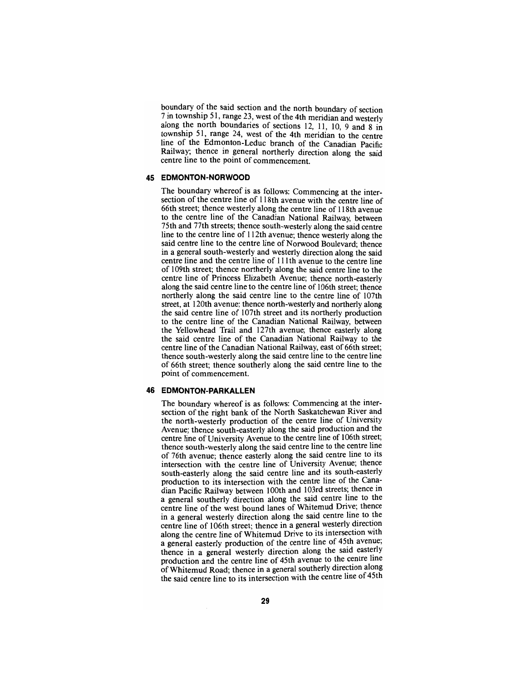boundary of the said section and the north boundary of section 7 in township 51, range 23, west of the 4th meridian and westerly along the north boundaries of sections 12, 11, 10, 9 and 8 in township 51, range 24, west of the 4th meridian to the centre line of the Edmonton-Leduc branch of the Canadian Pacific Railway; thence in general northeriy direction along the said centre line to the point of commencement.

#### **45 EDMONTON-NORWOOD**

The boundary whereof is as follows: Commencing at the inter-<br>section of the centre line of 118th avenue with the centre line of 66th street; thence westerly along the centre line of 118th avenue to the centre line of the Canadian National Railway, between 75th and 77th streets; thence south-westerly along the said centre line to the centre line of 112th avenue; thence westerly along the said centre line to the centre line of Norwood Boulevard; thence in a general south-westerly and westerly direction along the said centre line and the centre line of 111th avenue to the centre line of 109th street; thence northerly along the said centre line to the centre line of Princess Elizabeth Avenue; thence north-easterly along the said centre line to the centre line of 106th street; thence northerly along the said centre line to the centre line of 107th street, at 120th avenue; thence north-westerly and northerly along the said centre line of 107th street and its northerly production to the centre line of the Canadian National Railway, between the Yellowhead Trail and 127th avenue; thence easterly along the said centre line of the Canadian National Railway to the centre line of the Canadian National Railway, east of 66th street; thence south-westerly along the said centre line to the centre line of 66th street; thence southerly along the said centre line to the point of commencement.

#### **46 EDMONTON-PARKALLEN**

The boundary whereof is as follows: Commencing at the intersection of the right bank of the North Saskatchewan River and the north-westerly production of the centre line of University Avenue; thence south-easterly along the said production and the centre line of University Avenue to the centre line of 106th street; thence south-westerly along the said centre line to the centre line of 76th avenue; thence easteriy along the said centre line to its intersection with the centre line of University Avenue; thence south-easteriy along the said centre line and its south-easteriy production to its intersection with the centre line of the Canadian Pacific Railway between 100th and 103rd streets; thence in a general southeriy direction along the said centre line to the centre line of the west bound lanes of Whitemud Drive; thence in a general westeriy direction along the said centre line to the centre line of 106th street; thence in a general westeriy direction along the centre line of Whitemud Drive to its intersection with a general easteriy production of the centre line of 45th avenue; thence in a general westeriy direction along the said easteriy production and the centre line of 45th avenue to the centre line of Whitemud Road; thence in a general southerly direction along the said centre line to its intersection with the centre line of 45th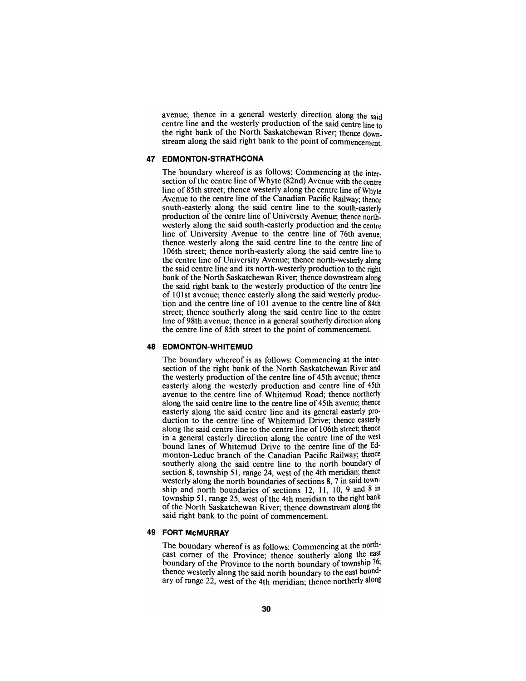avenue; thence in a general westerly direction along the said centre line and the westerly production of the said centre line to the right bank of the North Saskatchewan River; thence downstream along the said right bank to the point of commencement.

#### **47 EDMONTON-STRATHCONA**

The boundary whereof is as follows: Commencing at the intersection of the centre line of Whyte (82nd) Avenue with the centre line of 85th street; thence westerly along the centre line of Whyte Avenue to the centre line of the Canadian Pacific Railway; thence south-easterly along the said centre line to the south-easteriy production of the centre line of University Avenue; thence northwesterly along the said south-easterly production and the centre line of University Avenue to the centre line of 76th avenue; thence westerly along the said centre line to the centre line of 106th street; thence north-easterly along the said centre line to the centre line of University Avenue; thence north-westerly along the said centre line and its north-westerly production to the right bank of the North Saskatchewan River; thence downstream along the said right bank to the westerly production of the centre line of 101st avenue; thence easterly along the said westerly production and the centre line of 101 avenue to the centre line of 84th street; thence southerly along the said centre line to the centre line of 98th avenue; thence in a general southerly direction along the centre line of 85th street to the point of commencement.

#### **48 EDMONTON-WHITEMUD**

The boundary whereof is as follows: Commencing at the intersection of the right bank of the North Saskatchewan River and the westerly production of the centre line of 45th avenue; thence easterly along the westerly production and centre line of 45th avenue to the centre line of Whitemud Road; thence northeriy along the said centre line to the centre line of 45th avenue; thence easterly along the said centre line and its general easterly production to the centre line of Whitemud Drive; thence easterly along the said centre line to the centre line of 106th street; thence in a general easterly direction along the centre line of the west bound lanes of Whitemud Drive to the centre line of the Edmonton-Leduc branch of the Canadian Pacific Railway; thence southerly along the said centre line to the north boundary of section 8, township 51, range 24, west of the 4th meridian; thence westerly along the north boundaries of sections 8, 7 in said township and north boundaries of sections 12, 11, 10, 9 and 8 in township 51, range 25, west of the 4th meridian to the right bank of the North Saskatchewan River; thence downstream along the said right bank to the point of commencement.

## **49 FORT McMURRAY**

The boundary whereof is as follows: Commencing at the northeast comer of the Province; thence southerly along the east boundary of the Province to the north boundary of township  $76$ ; thence westeriy along the said north boundary to the east boundary of range 22, west of the 4th meridian; thence northerly along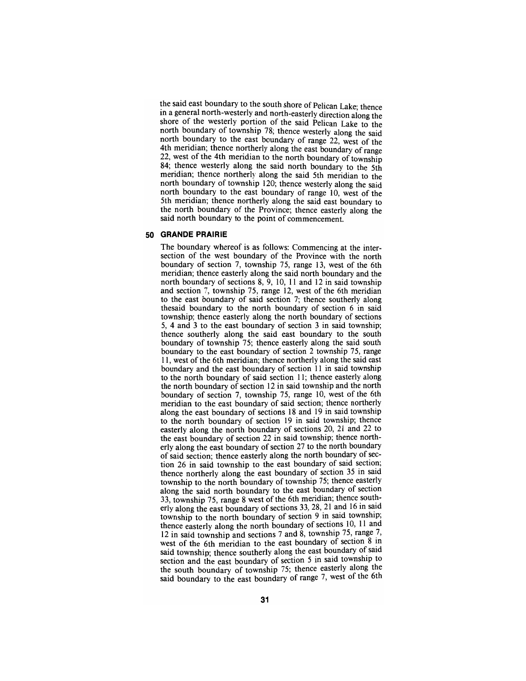the said east boundary to the south shore of Pelican Lake; thence in a general north-westerly and north-easteriy direction along the shore of the westeriy portion of the said Pelican Lake to the north boundary of township 78; thence westeriy along the said north boundary to the east boundary of range 22, west of the 4th meridian; thence northeriy along the east boundary of range 22, west of the 4th meridian to the north boundary of township 84; thence westeriy along the said north boundary to the 5th meridian; thence northerly along the said 5th meridian to the north boundary of township 120; thence westerly along the said north boundary to the east boundary of range 10, west of the 5th meridian; thence northerly along the said east boundary to the north boundary of the Province; thence easterly along the said north boundary to the point of commencement.

## **50 GRANDE PRAIRIE**

The boundary whereof is as follows: Commencing at the intersection of the west boundary of the Province with the north boundary of section 7, township 75, range 13, west of the 6th meridian; thence easterly along the said north boundary and the north boundary of sections 8, 9, 10, 11 and 12 in said township and section 7, township 75, range 12, west of the 6th meridian to the east boundary of said section 7; thence southerly along thesaid boundary to the north boundary of section 6 in said township; thence easterly along the north boundary of sections 5, 4 and 3 to the east boundary of section 3 in said township; thence southerly along the said east boundary to the south boundary of township 75; thence easterly along the said south boundary to the east boundary of section 2 township 75, range 11, west of the 6th meridian; thence northerly along the said east boundary and the east boundary of section 11 in said township to the north boundary of said section 11; thence easterly along the north boundary of section 12 in said township and the north boundary of section 7, township 75, range 10, west of the 6th meridian to the east boundary of said section; thence northerly along the east boundary of sections 18 and 19 in said township to the north boundary of section 19 in said township; thence easterly along the north boundary of sections 20, 21 and 22 to the east boundary of section 22 in said township; thence northerly along the east boundary of section 27 to the north boundary of said section; thence easterly along the north boundary of section 26 in said township to the east boundary of said section; thence northeriy along the east boundary of section 35 in said township to the north boundary of township 75; thence easteriy along the said north boundary to the east boundary of section 33, township 75, range 8 west of the 6th meridian; thence southeriy along the east boundary of sections 33, 28, 21 and 16 in said township to the north boundary of section 9 in said township; thence easterly along the north boundary of sections 10, 11 and 12 in said township and sections 7 and 8, township 75, range 7, west of the 6th meridian to the east boundary of section 8 in said township; thence southeriy along the east boundary of said section and the east boundary of section 5 in said township to the south boundary of township 75; thence easteriy along the said boundary to the east boundary of range 7, west of the 6th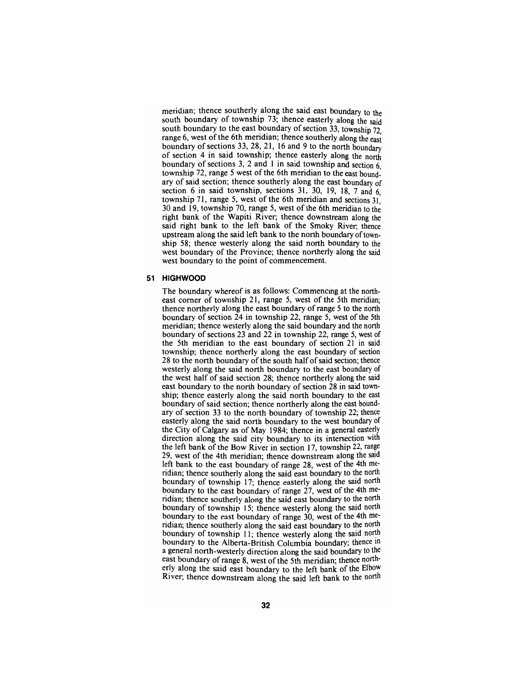meridian; thence southerly along the said east boundary to the south boundary of township 73; thence easterly along the said south boundary to the east boundary of section 33, township 72 range 6, west of the 6th meridian; thence southerly along the east boundary of sections 33, 28, 21, 16 and 9 to the north boundary of section 4 in said township; thence easterly along the north boundary of sections 3, 2 and 1 in said township and section  $6$ . township 72, range 5 west of the 6th meridian to the east boundary of said section; thence southerly along the east boundary of section 6 in said township, sections 31, 30, 19, 18, 7 and 6. township 71, range 5, west of the 6th meridian and sections  $31$ . 30 and 19, township 70, range 5, west of the 6th meridian to the right bank of the Wapiti River; thence downstream along the said right bank to the left bank of the Smoky River; thence upstream along the said left bank to the north boundary of township 58; thence westerly along the said north boundary to the west boundary of the Province; thence northerly along the said west boundary to the point of commencement.

#### **51 HIGHWOOD**

The boundary whereof is as follows: Commencing at the northeast comer of township 21, range 5, west of the 5th meridian; thence northerly along the east boundary of range 5 to the north boundary of section 24 in township 22, range 5, west of the 5th meridian; thence westerly along the said boundary and the north boundary of sections 23 and 22 in township 22, range 5, west of the 5th meridian to the east boundary of section 21 in said township; thence northerly along the east boundary of section 28 to the north boundary of the south half of said section; thence westerly along the said north boundary to the east boundary of the west half of said section 28; thence northerly along the said east boundary to the north boundary of section 28 in said township; thence easterly along the said north boundary to the east boundary of said section; thence northerly along the east boundary of section 33 to the north boundary of township 22; thence easterly along the said north boundary to the west boundary of the City of Calgary as of May 1984; thence in a general easterly direction along the said city boundary to its intersection with the left bank of the Bow River in section 17, township 22, range 29, west of the 4th meridian; thence downstream along the said left bank to the east boundary of range 28, west of the 4th meridian; thence southerly along the said east boundary to the north boundary of township 17; thence easterly along the said north boundary to the east boundary of range 27, west of the 4th meridian; thence southerly along the said east boundary to the north boundary of township 15; thence westerly along the said north boundary to the east boundary of range 30, west of the 4th meridian; thence southerly along the said east boundary to the north boundary of township 11; thence westerly along the said north boundary to the Alberta-British Columbia boundary; thence in a general north-westerly direction along the said boundary to the east boundary of range 8, west of the 5th meridian; thence northerly along the said east boundary to the left bank of the Elbow River; thence downstream along the said left bank to the north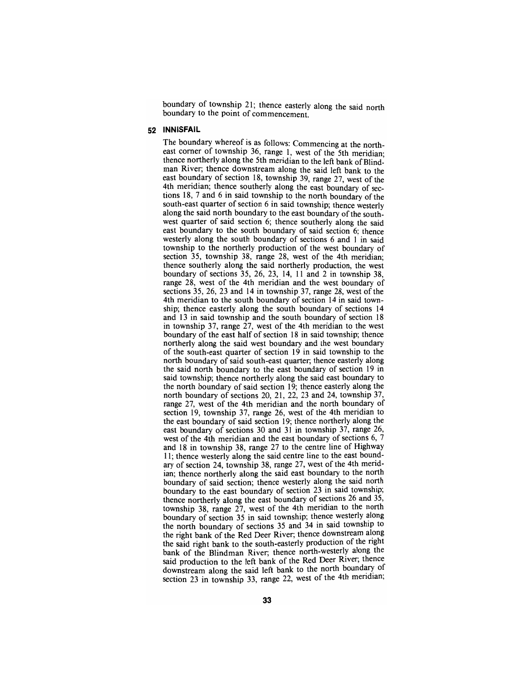boundary of township 21; thence easteriy along the said north boundary to the point of commencement.

#### **52 INNISFAIL**

The boundary whereof is as follows: Commencing at the northeast corner of township 36, range 1, west of the 5th meridian; thence northerly along the 5th meridian to the left bank of Blindman River; thence downstream along the said left bank to the east boundary of section 18, township 39, range 27, west of the 4th meridian; thence southeriy along the east boundary of sections  $18$ ,  $7$  and  $6$  in said township to the north boundary of the south-east quarter of section 6 in said township; thence westerly along the said north boundary to the east boundary of the southwest quarter of said section 6; thence southerly along the said east boundary to the south boundary of said section 6; thence westerly along the south boundary of sections 6 and 1 in said township to the northerly production of the west boundary of section 35, township 38, range 28, west of the 4th meridian; thence southerly along the said northerly production, the west boundary of sections 35, 26, 23, 14, 11 and 2 in township 38, range 28, west of the 4th meridian and the west boundary of sections 35, 26, 23 and 14 in township 37, range 28, west of the 4th meridian to the south boundary of section 14 in said township; thence easterly along the south boundary of sections 14 and 13 in said township and the south boundary of section 18 in township 37, range  $27$ , west of the 4th meridian to the west boundary of the east half of section 18 in said township; thence northerly along the said west boundary and the west boundary of the south-east quarter of section 19 in said township to the north boundary of said south-east quarter; thence easteriy along the said north boundary to the east boundary of section 19 in said township; thence northerly along the said east boundary to the north boundary of said section 19; thence easterly along the north boundary of sections 20, 21, 22, 23 and 24, township 37, range 27, west of the 4th meridian and the north boundary of section 19, township 37, range 26, west of the 4th meridian to the east boundary of said section 19; thence northerly along the east boundary of sections 30 and 31 in township 37, range 26, west of the 4th meridian and the east boundary of sections 6, 7 and 18 in township 38, range 27 to the centre line of Highway 11; thence westeriy along the said centre line to the east boundary of section 24, township 38, range 27, west of the 4th meridian; thence northerly along the said east boundary to the north boundary of said section; thence westeriy along the said north boundary to the east boundary of section 23 in said township; thence northerly along the east boundary of sections 26 and 35, township 38, range 27, west of the 4th meridian to the north boundary of section 35 in said township; thence westerly along the north boundary of sections 35 and 34 in said township to the right bank of the Red Deer River; thence downstream along the said right bank to the south-easterly production of the right bank of the Blindman River; thence north-westerly along the said production to the left bank of the Red Deer River; thence downstream along the said left bank to the north boundary ol section 23 in township 33, range 22, west of the 4th meridian;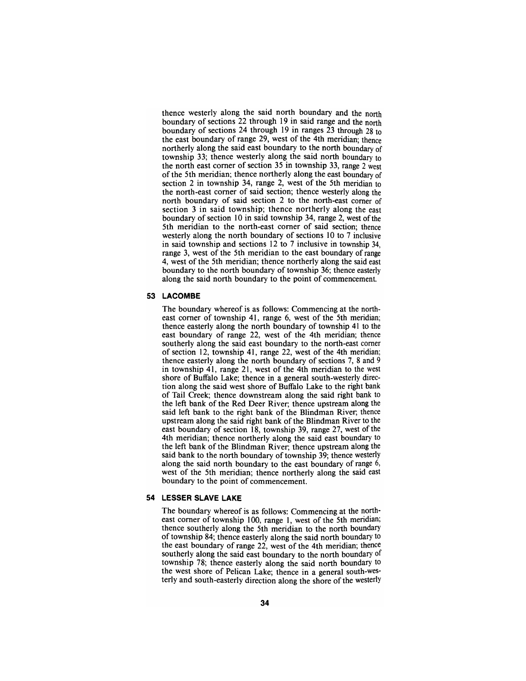thence westerly along the said north boundary and the north boundary of sections 22 through 19 in said range and the north boundary of sections 24 through 19 in ranges  $\overline{23}$  through 28 to the east boundary of range 29, west of the 4th meridian; thence northerly along the said east boundary to the north boundary of township 33; thence westerly along the said north boundary to the north east comer of section 35 in township 33, range 2 west of the 5th meridian; thence northerly along the east boundary of section 2 in township 34, range 2, west of the 5th meridian to the north-east comer of said section; thence westerly along the north boundary of said section 2 to the north-east comer of section 3 in said township; thence northerly along the east boundary of section 10 in said township 34, range 2, west of the 5th meridian to the north-east comer of said section; thence westerly along the north boundary of sections 10 to 7 inclusive in said township and sections 12 to 7 inclusive in township 34, range 3, west of the 5th meridian to the east boundary of range 4, west of the 5th meridian; thence northerly along the said east boundary to the north boundary of township 36; thence easteriy along the said north boundary to the point of commencement.

## **53 LACOMBE**

The boundary whereof is as follows: Commencing at the north-<br>east corner of township 41, range 6, west of the 5th meridian; thence easterly along the north boundary of township 41 to the east boundary of range 22, west of the 4th meridian; thence southerly along the said east boundary to the north-east comer of section 12, township 41, range 22, west of the 4th meridian; thence easterly along the north boundary of sections 7, 8 and 9 in township 41, range 21, west of the 4th meridian to the west shore of Buffalo Lake; thence in a general south-westerly direc- tion along the said west shore of Buffalo Lake to the right bank of Tail Creek; thence downstream along the said right bank to the left bank of the Red Deer River; thence upstream along the said left bank to the right bank of the Blindman River; thence upstream along the said right bank of the Blindman River to the east boundary of section 18, township 39, range 27, west of the 4th meridian; thence northerly along the said east boundary to the left bank of the Blindman River; thence upstream along the said bank to the north boundary of township 39; thence westeriy along the said north boundary to the east boundary of range 6, west of the 5th meridian; thence northerly along the said east boundary to the point of commencement.

## **54 LESSER SLAVE LAKE**

The boundary whereof is as follows: Commencing at the north-<br>east corner of township 100, range 1, west of the 5th meridian; thence southerly along the 5th meridian to the north boundary of township 84; thence easterly along the said north boundary to the east boundary of range 22, west of the 4th meridian; thence southerly along the said east boundary to the north boundary of township 78; thence easterly along the said north boundary to the west shore of Pelican Lake; thence in a general south-westerly and south-easterly direction along the shore of the westerly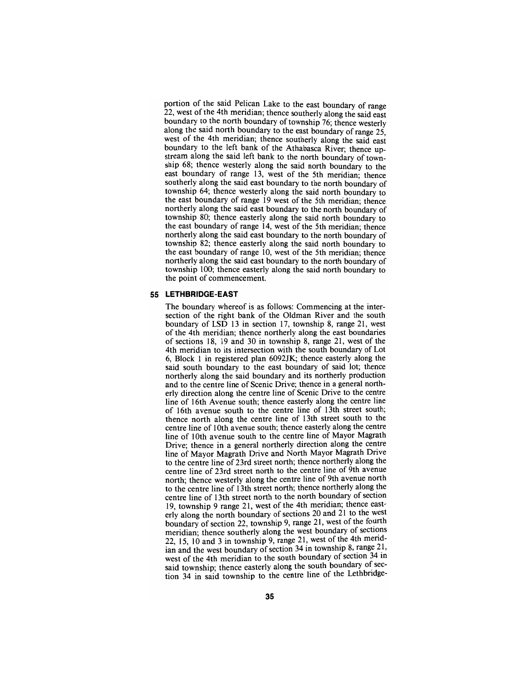portion of the said Pelican Lake to the east boundary of range 22, west of the 4th meridian; thence southerly along the said east boundary to the north boundary of township 76; thence westerly along the said north boundary to the east boundary of range 25, west of the 4th meridian; thence southeriy along the said east boundary to the left bank of the Athabasca River; thence upstream along the said left bank to the north boundary of township 68; thence westerly along the said north boundary to the east boundary of range 13, west of the 5th meridian; thence southerly along the said east boundary to the north boundary of township 64; thence westeriy along the said north boundary to the east boundary of range 19 west of the 5th meridian; thence northerly along the said east boundary to the north boundary of township 80; thence easterly along the said north boundary to the east boundary of range 14, west of the 5th meridian; thence northerly along the said east boundary to the north boundary of township 82; thence easterly along the said north boundary to the east boundary of range 10, west of the 5th meridian; thence northerly along the said east boundary to the north boundary of township 100; thence easterly along the said north boundary to the point of commencement.

#### **55 LETHBRIDGE-EAST**

The boundary whereof is as follows: Commencing at the inter- section of the right bank of the Oldman River and the south boundary of LSD 13 in section 17, township 8, range 21, west of the 4th meridian; thence northerly along the east boundaries of sections  $18$ ,  $19$  and  $30$  in township 8, range 21, west of the 4th meridian to its intersection with the south boundary of Lot 6, Block 1 in registered plan 6092JK; thence easterly along the said south boundary to the east boundary of said lot; thence northerly along the said boundary and its northerly production and to the centre line of Scenic Drive; thence in a general north- erly direction along the centre line of Scenic Drive to the centre line of 16th Avenue south; thence easteriy along the centre line of 16th avenue south to the centre line of 13th street south; thence north along the centre line of 13th street south to the centre line of 10th avenue south; thence easteriy along the centre line of 10th avenue south to the centre line of Mayor Magrath Drive; thence in a general northerly direction along the centre line of Mayor Magrath Drive and North Mayor Magrath Drive to the centre line of 23rd street north; thence northeriy along the centre line of 23rd street north to the centre line of 9th avenue north; thence westeriy along the centre line of 9th avenue north to the centre line of 13th street north; thence northeriy along the centre line of 13th street north to the north boundary of section 19, township 9 range 21, west of the 4th meridian; thence east- erly along the north boundary of sections 20 and 21 to the west boundary of section 22, township 9, range 21, west of the fourth meridian; thence southeriy along the west boundary of sections 22, 15, 10 and 3 in township 9, range 21, west of the 4th meridian and the west boundary of section 34 in township 8, range 21, west of the 4th meridian to the south boundary of section 34 in said township; thence easterly along the south boundary of section 34 in said township to the centre line of the Lethbridge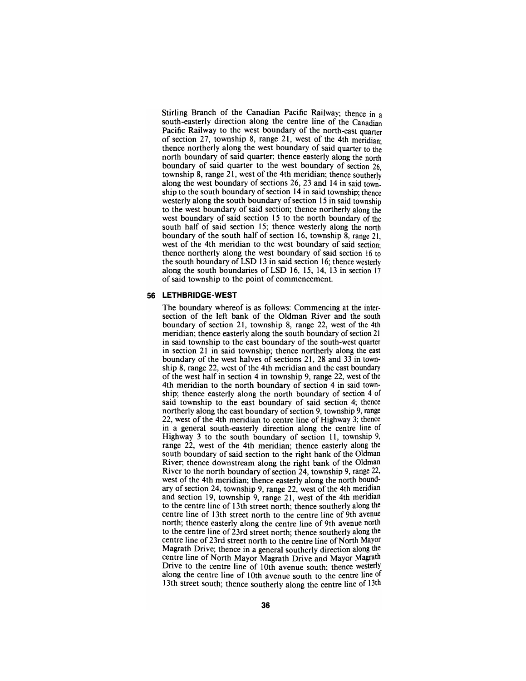Stirling Branch of the Canadian Pacific Railway; thence in a south-easterly direction along the centre line of the Canadian Pacific Railway to the west boundary of the north-east quarter of section 27, township 8, range 21, west of the 4th meridian: thence northerly along the west boundary of said quarter to the north boundary of said quarter; thence easterly along the north boundary of said quarter to the west boundary of section 26, township 8, range 21, west of the 4th meridian; thence southeriy along the west boundary of sections 26, 23 and 14 in said township to the south boundary of section 14 in said township; thence westerly along the south boundary of section 15 in said township to the west boundary of said section; thence northerly along the west boundary of said section 15 to the north boundary of the south half of said section 15; thence westerly along the north boundary of the south half of section 16, township 8, range 21, west of the 4th meridian to the west boundary of said section; thence northerly along the west boundary of said section 16 to the south boundary of LSD 13 in said section 16; thence westerly along the south boundaries of LSD 16, 15, 14, 13 in section 17 of said township to the point of commencement.

## **56 LETHBRIDGE-WEST**

The boundary whereof is as follows: Commencing at the inter- section of the left bank of the Oldman River and the south boundary of section 21, township 8, range 22, west of the 4th meridian; thence easterly along the south boundary of section 21 in said township to the east boundary of the south-west quarter in section 21 in said township; thence northeriy along the east boundary of the west halves of sections 21, 28 and 33 in town-<br>ship 8, range 22, west of the 4th meridian and the east boundary of the west half in section 4 in township 9, range 22, west of the 4th meridian to the north boundary of section 4 in said town- ship; thence easterly along the north boundary of section 4 of said township to the east boundary of said section 4; thence northerly along the east boundary of section 9, township 9, range 22, west of the 4th meridian to centre line of Highway 3; thence in a general south-easterly direction along the centre line of Highway 3 to the south boundary of section 11, township 9, range 22, west of the 4th meridian; thence easterly along the south boundary of said section to the right bank of the Oldman River; thence downstream along the right bank of the Oldman River to the north boundary of section 24, township 9, range 22, west of the 4th meridian; thence easterly along the north bound-<br>ary of section 24, township 9, range 22, west of the 4th meridian and section 19, township 9, range 21, west of the 4th meridian to the centre line of 13th street north; thence southeriy along the centre line of 13th street north to the centre line of 9th avenue north; thence easterly along the centre line of 9th avenue north to the centre line of 23rd street north; thence southerly along the centre line of 23rd street north to the centre line of North Mayor Magrath Drive; thence in a general southerly direction along the centre line of North Mayor Magrath Drive and Mayor Magrath Drive to the centre line of 10th avenue south; thence westerly along the centre line of 10th avenue south to the centre line of 13th street south; thence southerly along the centre line of  $13$ <sup>th</sup>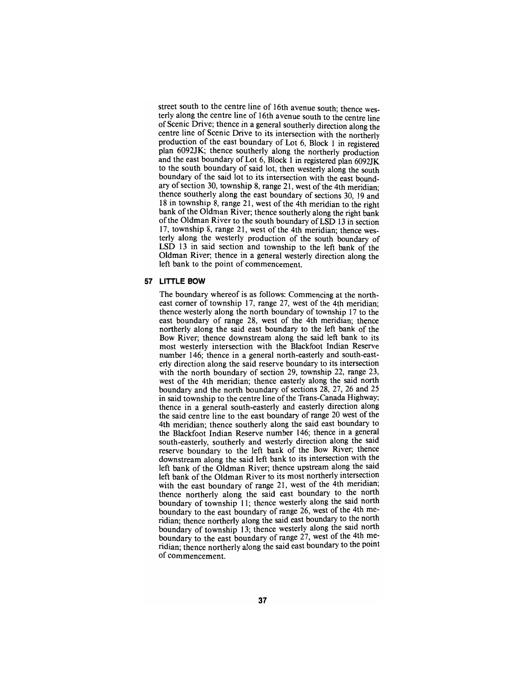street south to the centre line of 16th avenue south; thence westeriy along the centre line of 16th avenue south to the centre line of Scenic Drive; thence in a general southeriy direction along the centre line of Scenic Drive to its intersection with the northeriy production of the east boundary of Lot 6, Block 1 in registered plan 6092JK; thence southeriy along the northerly production and the east boundary of Lot 6, Block 1 in registered plan 6092JK to the south boundary of said lot, then westeriy along the south boundary of the said lot to its intersection with the east boundary of section 30, township 8, range 21, west of the 4th meridian; thence southerly along the east boundary of sections 30, 19 and 18 in township 8, range 21, west of the 4th meridian to the right bank of the Oldman River; thence southerly along the right bank ofthe Oldman River to the south boundary of LSD 13 in section 17, township 8, range 21, west of the 4th meridian; thence westerly along the westerly production of the south boundary of LSD 13 in said section and township to the left bank of the Oldman River; thence in a general westerly direction along the left bank to the point of commencement.

#### **57 LITTLE BOW**

The boundary whereof is as follows: Commencing at the northeast comer of township 17, range 27, west of the 4th meridian; thence westerly along the north boundary of township 17 to the east boundary of range 28, west of the 4th meridian; thence northerly along the said east boundary to the left bank of the Bow River; thence downstream along the said left bank to its most westerly intersection with the Blackfoot Indian Reserve number 146; thence in a general north-easterly and south-easterly direction along the said reserve boundary to its intersection with the north boundary of section 29, township 22, range 23, west of the 4th meridian; thence easterly along the said north boundary and the north boundary of sections 28, 27, 26 and 25 in said township to the centre line of the Trans-Canada Highway; thence in a general south-easterly and easteriy direction along the said centre line to the east boundary of range 20 west of the 4th meridian; thence southerly along the said east boundary to the Blackfoot Indian Reserve number 146; thence in a general south-easterly, southerly and westeriy direction along the said reserve boundary to the left bank of the Bow River; thence downstream along the said left bank to its intersection with the left bank of the Oldman River; thence upstream along the said left bank of the Oldman River to its most northerly intersection with the east boundary of range 21, west of the 4th meridian; thence northeriy along the said east boundary to the north boundary of township 11; thence westerly along the said north boundary to the east boundary of range 26, west of the 4th meridian; thence northeriy along the said east boundary to the north boundary of township 13; thence westerly along the said north boundary to the east boundary of range 27, west of the 4th meridian; thence northerly along the said east boundary to the point of commencement.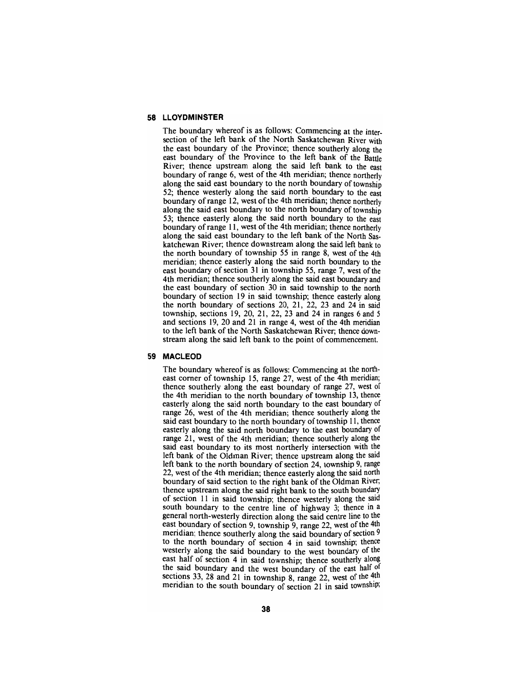## **58 LLOYDMINSTER**

The boundary whereof is as follows: Commencing at the intersection of the left bank of the North Saskatchewan River with the east boundary of the Province; thence southerly along the east boundary of the Province to the left bank of the Batde River; thence upstream along the said left bank to the east boundary of range 6, west of the 4th meridian; thence northerly along the said east boundary to the north boundary of township 52; thence westerly along the said north boundary to the east boundary of range 12, west of the 4th meridian; thence northerly along the said east boundary to the north boundary of township 53; thence easterly along the said north boundary to the east boundary of range 11, west of the 4th meridian; thence northerly along the said east boundary to the left bank of the North Saskatchewan River; thence downstream along the said left bank to the north boundary of township 55 in range 8, west of the 4th meridian; thence easterly along the said north boundary to the east boundary of section 31 in township 55, range 7, west of the 4th meridian; thence southerly along the said east boundary and the east boundary of section 30 in said township to the north boundary of section 19 in said township; thence easterly along the north boundary of sections 20, 21, 22, 23 and 24 in said township, sections 19, 20, 21, 22, 23 and 24 in ranges 6 and 5 and sections 19, 20 and 21 in range 4, west of the 4th meridian to the left bank of the North Saskatchewan River; thence downstream along the said left bank to the point of commencement.

#### **59 MACLEOD**

The boundary whereof is as follows: Commencing at the north-<br>east corner of township 15, range 27, west of the 4th meridian; thence southerly along the east boundary of range 27, west of the 4th meridian to the north boundary of township 13, thence easterly along the said north boundary to the east boundary of range 26, west of the 4th meridian; thence southerly along the said east boundary to the north boundary of township 11, thence easterly along the said north boundary to the east boundary of range 21, west of the 4th meridian; thence southerly along the said east boundary to its most northerly intersection with the left bank of the Oldman River; thence upstream along the said left bank to the north boundary of section 24, township 9, range 22, west of the 4th meridian; thence easterly along the said north boundary of said section to the right bank of the Oldman River; thence upstream along the said right bank to the south boundary of section 11 in said township; thence westerly along the said south boundary to the centre line of highway 3; thence in a general north-westerly direction along the said centre line to the east boundary of section 9, township 9, range 22, west of the 4th meridian; thence southerly along the said boundary of section 9 to the north boundary of section 4 in said township; thence westeriy along the said boundary to the west boundary of the east half of section 4 in said township; thence southeriy along the said boundary and the west boundary of the east half of sections 33, 28 and 21 in township 8, range 22, west of the  $4th$ meridian to the south boundary of section 21 in said township;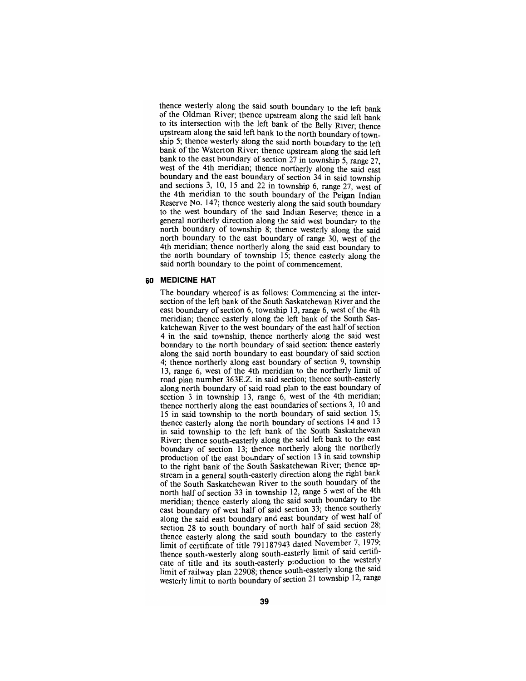thence westerly along the said south boundary to the left bank of the Oldman River; thence upstream along the said left bank to its intersection with the left bank of the Belly River; thence upstream along the said left bank to the north boundary of township 5; thence westeriy along the said north boundary to the left bank of the Waterton River; thence upstream along the said left bank to the east boundary of section  $27$  in township 5, range 27, west of the 4th meridian; thence northeriy along the said east boundary and the east boundary of section 34 in said township and sections 3, 10, 15 and 22 in township 6, range 27, west of the 4th meridian to the south boundary of the Peigan Indian Reserve No. 147; thence westeriy along the said south boundary to the west boundary of the said Indian Reserve; thence in a general northerly direction along the said west boundary to the north boundary of township 8; thence westerly along the said north boundary to the east boundary of range 30, west of the 4th meridian; thence northeriy along the said east boundary to the north boundary of township 15; thence easterly along the said north boundary to the point of commencement.

#### **60 MEDICINE HAT**

The boundary whereof is as follows: Commencing at the intersection of the left bank of the South Saskatchewan River and the east boundary of section 6, township 13, range 6, west of the 4th meridian; thence easterly along the left bank of the South Saskatchewan River to the west boundary of the east half of section 4 in the said township; thence northerly along the said west boundary to the north boundary of said section; thence easterly along the said north boundary to east boundary of said section 4; thence northerly along east boundary of section 9, township 13, range 6, west of the 4th meridian to the northerly limit of road plan number 363E.Z. in said section; thence south-easterly along north boundary of said road plan to the east boundary of section 3 in township 13, range 6, west of the 4th meridian; thence northerly along the east boundaries of sections 3, 10 and 15 in said township to the north boundary of said section 15; thence easterly along the north boundary of sections 14 and 13 in said township to the left bank of the South Saskatchewan River; thence south-easterly along the said left bank to the east boundary of section 13; thence northerly along the northerly production of the east boundary of section 13 in said township to the right bank of the South Saskatchewan River; thence upstream in a general south-easterly direction along the right bank of the South Saskatchewan River to the south boundary of the north half of section 33 in township 12, range 5 west of the 4th meridian; thence easterly along the said south boundary to the east boundary of west half of said section 33; thence southeriy along the said east boundary and east boundary of west half of section 28 to south boundary of north half of said section 28; thence easterly along the said south boundary to the easteriy limit of certificate of title 791187943 dated November 7, 1979; thence south-westeriy along south-easteriy limit of said certificate of tide and its south-easteriy production to the westeriy limit of railway plan 22908; thence south-easteriy along the said westerly limit to north boundary of section 21 township 12, range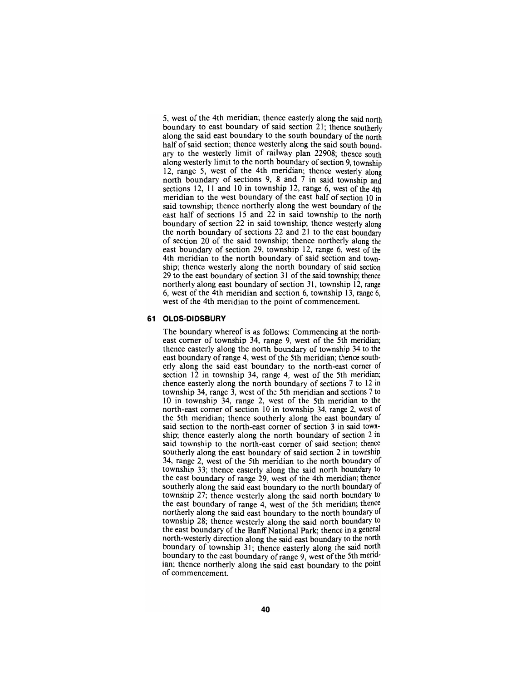5, west of the 4th meridian; thence easterly along the said north boundary to east boundary of said section 21; thence southerly along the said east boundary to the south boundary of the north half of said section; thence westerly along the said south boundary to the westerly limit of railway plan 22908; thence south along westerly limit to the north boundary of section 9, township 12, range 5, west of the 4th meridian; thence westeriy along north boundary of sections 9, 8 and 7 in said township and sections 12, 11 and 10 in township 12, range 6, west of the 4th meridian to the west boundary of the east half of section 10 in said township; thence northerly along the west boundary of the east half of sections 15 and 22 in said township to the north boundary of section 22 in said township; thence westerly along the north boundary of sections 22 and 21 to the east boundary of section 20 of the said township; thence northerly along the east boundary of section 29, township 12, range 6, west of the 4th meridian to the north boundary of said section and township; thence westerly along the north boundary of said section 29 to the east boundary of section 31 of the said township; thence northerly along east boundary of section 31, township 12, range 6, west of the 4th meridian and section 6, township 13, range 6, west of the 4th meridian to the point of commencement.

#### **61 OLDS-DIDSBURY**

The boundary whereof is as follows: Commencing at the north- east comer of township 34, range 9, west of the 5th meridian; thence easterly along the north boundary of township 34 to the east boundary of range 4, west of the 5th meridian; thence south-<br>erly along the said east boundary to the north-east comer of section  $12$  in township 34, range 4, west of the 5th meridian; thence easterly along the north boundary of sections 7 to 12 in township 34, range 3, west of the 5th meridian and sections 7 to 10 in township 34, range 2, west of the 5th meridian to the north-east comer of section 10 in township 34, range 2, west of the 5th meridian; thence southerly along the east boundary of said section to the north-east comer of section 3 in said town ship; thence easterly along the north boundary of section 2 in said township to the north-east comer of said section; thence southerly along the east boundary of said section 2 in township 34, range 2, west of the 5th meridian to the north boundary of township 33; thence easterly along the said north boundary to the east boundary of range 29, west of the 4th meridian; thence southerly along the said east boundary to the north boundary of township 27; thence westerly along the said north boundary to the east boundary of range 4, west of the 5th meridian; thence northerly along the said east boundary to the north boundary of township 28; thence westerly along the said north boundary to the east boundary of the Banff National Park; thence in a general north-westerly direction along the said east boundary to the north boundary of township 31; thence easterly along the said north boundary to the east boundary of range 9, west of the 5th merid-<br>ian; thence northerly along the said east boundary to the point of commencement.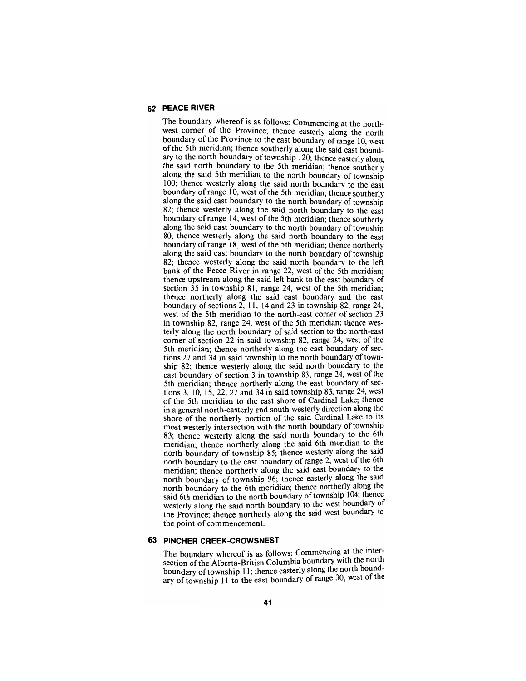## **62 PEACE RIVER**

The boundary whereof is as follows: Commencing at the northwest corner of the Province; thence easterly along the north boundary of the Province to the east boundary of range 10, west of the 5th meridian; thence southerly along the said east boundary to the north boundary of township 120; thence easterly along the said north boundary to the 5th meridian; thence southerly along the said 5th meridian to the north boundary of township 100; thence westerly along the said north boundary to the east boundary of range 10, west of the 5th meridian; thence southerly along the said east boundary to the north boundary of township 82; thence westerly along the said north boundary to the east boundary of range 14, west of the 5th meridian; thence southerly along the said east boundary to the north boundary of township 80; thence westerly along the said north boundary to the east boundary of range 18, west of the 5th meridian; thence northerly along the said east boundary to the north boundary of township 82; thence westerly along the said north boundary to the left bank of the Peace River in range 22, west of the 5th meridian; thence upstream along the said left bank to the east boundary of section  $35$  in township  $81$ , range  $24$ , west of the 5th meridian; thence northerly along the said east boundary and the east boundary of sections 2, 11, 14 and 23 in township 82, range 24, west of the 5th meridian to the north-east comer of section 23 in township 82, range 24, west of the 5th meridian; thence westerly along the north boundary of said section to the north-east comer of section 22 in said township 82, range 24, west of the 5th meridian; thence northerly along the east boundary of sections 27 and 34 in said township to the north boundary of township 82; thence westerly along the said north boundary to the east boundary of section 3 in township 83, range 24, west of the 5th meridian; thence northeriy along the east boundary of sections 3, 10, 15, 22, 27 and 34 in said township 83, range 24, west of the 5th meridian to the east shore of Cardinal Lake; thence in a general north-easteriy and south-westeriy direction along the shore of the northeriy portion of the said Cardinal Lake to its most westeriy intersection with the north boundary of township 83; thence westeriy along the said north boundary to the 6th meridian; thence northeriy along the said 6th mendian to the north boundary of township 85; thence westerly along the said north boundary to the east boundary of range 2, west of the 6th meridian; thence northeriy along the said east boundary to the north boundary of township 96; thence easterly along the said north boundary to the 6th meridian; thence northeriy along the said 6th meridian to the north boundary of township 104; thence westeriy along the said north boundary to the west boundary ot the Province; thence northeriy along the said west boundary to the point of commencement.

#### **63 PINCHER CREEK-CROWSNEST**

The boundary whereof is as follows: Commencing at the intersection of the Alberta-British Columbia boundary with the north boundary of township 11; thence easteriy along the north boundary of township 11 to the east boundary of range 30, west ot the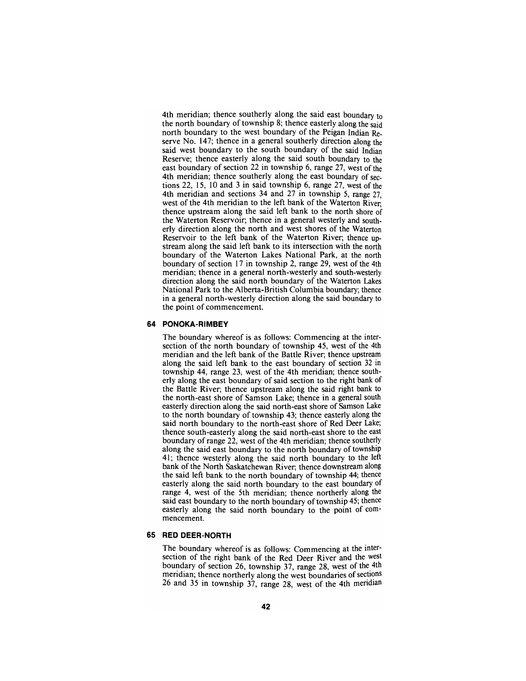4th meridian; thence southerly along the said east boundary to the north boundary of township 8; thence easterly along the said north boundary to the west boundary of the Peigan Indian Reserve No. 147; thence in a general southerly direction along the said west boundary to the south boundary of the said Indian Reserve; thence easterly along the said south boundary to the east boundary of section 22 in township 6, range 27, west of the 4th meridian; thence southerly along the east boundary of sections 22, 15, 10 and 3 in said township 6, range  $27$ , west of the 4th meridian and sections 34 and 27 in township 5, range 27, west of the 4th meridian to the left bank of the Waterton River; thence upstream along the said left bank to the north shore of the Waterton Reservoir; thence in a general westerly and southerly direction along the north and west shores of the Waterton Reservoir to the left bank of the Waterton River; thence upstream along the said left bank to its intersection with the north boundary of the Waterton Lakes National Park, at the north boundary of section 17 in township 2, range 29, west of the 4th meridian; thence in a general north-westerly and south-westerly direction along the said north boundary of the Waterton Lakes National Park to the Alberta-British Columbia boundary; thence in a general north-westerly direction along the said boundary to the point of commencement.

#### **64 PONOKA-RIMBEY**

The boundary whereof is as follows: Commencing at the inter- section of the north boundary of township 45, west of the 4th meridian and the left bank of the Battle River; thence upstream along the said left bank to the east boundary of section 32 in township 44, range 23, west of the 4th meridian; thence south-<br>erly along the east boundary of said section to the right bank of the Battle River; thence upstream along the said right bank to the north-east shore of Samson Lake; thence in a general south easterly direction along the said north-east shore of Samson Lake to the north boundary of township 43; thence easterly along the said north boundary to the north-east shore of Red Deer Lake; thence south-easterly along the said north-east shore to the east boundary of range 22, west of the 4th meridian; thence southerly along the said east boundary to the north boundary of township 41; thence westerly along the said north boundary to the left bank of the North Saskatchewan River, thence downstream along the said left bank to the north boundary of township 44; thence easterly along the said north boundary to the east boundary of range 4, west of the 5th meridian; thence northerly along the said east boundary to the north boundary of township 45; thence easterly along the said north boundary to the point of com- mencement.

#### **65 RED DEER-NORTH**

The boundary whereof is as follows: Commencing at the intersection of the right bank of the Red Deer River and the west boundary of section 26, township 37, range 28, west of the 4th meridian; thence northeriy along the west boundaries of sections 26 and 35 in township 37, range 28, west of the 4th meridian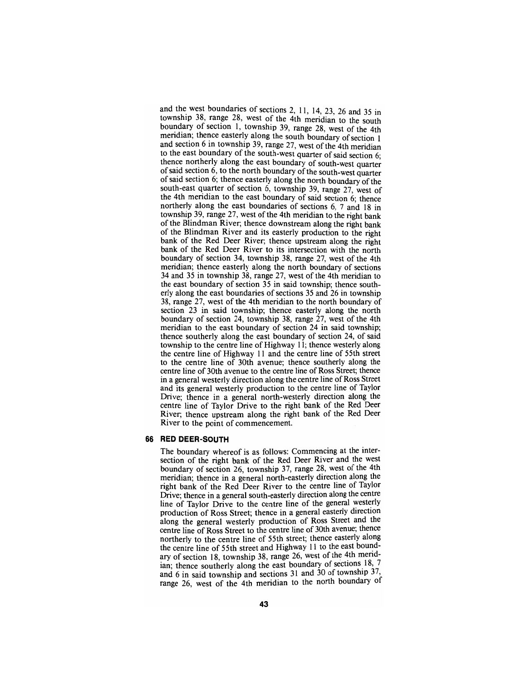and the west boundaries of sections 2, 11, 14, 23, 26 and 35 in township 38, range 28, west of the 4th meridian to the south boundary of section 1, township 39, range 28, west of the 4th meridian; thence easteriy along the south boundary of section 1 and section 6 in township 39, range 27, west of the 4th meridian to the east boundary of the south-west quarter of said section 6; thence northerly along the east boundary of south-west quarter of said section 6, to the north boundary of the south-west quarter of said section 6; thence easterly along the north boundary of the south-east quarter of section 6, township 39, range 27, west of the 4th meridian to the east boundary of said section 6; thence northerly along the east boundaries of sections 6, 7 and 18 in township 39, range 27, west of the 4th meridian to the right bank of the Blindman River; thence downstream along the right bank of the Blindman River and its easterly production to the right bank of the Red Deer River; thence upstream along the right bank of the Red Deer River to its intersection with the north boundary of section 34, township 38, range 27, west of the 4th meridian; thence easterly along the north boundary of sections 34 and 35 in township  $38$ , range 27, west of the 4th meridian to the east boundary of section 35 in said township; thence southerly along the east boundaries of sections 35 and 26 in township 38, range 27, west of the 4th meridian to the north boundary of section 23 in said township; thence easterly along the north boundary of section 24, township 38, range 27, west of the 4th meridian to the east boundary of section 24 in said township; thence southerly along the east boundary of section 24, of said township to the centre line of Highway 11; thence westerly along the centre line of Highway 11 and the centre line of 55th street to the centre line of 30th avenue; thence southerly along the centre line of 30th avenue to the centre line of Ross Street; thence in a general westerly direction along the centre line of Ross Street and its general westerly production to the centre line of Taylor Drive; thence in a general north-westerly direction along the centre line of Taylor Drive to the right bank of the Red Deer River; thence upstream along the right bank of the Red Deer River to the point of commencement.

## **66 RED DEER-SOUTH**

The boundary whereof is as follows: Commencing at the intersection of the right bank of the Red Deer River and the west boundary of section 26, township 37, range 28, west of the 4th meridian; thence in a general north-easterly direction along the right bank of the Red Deer River to the centre line of Taylor Drive; thence in a general south-easteriy direction along the centre line of Taylor Drive to the centre line of the general westeriy production of Ross Street; thence in a general easteriy direction along the general westeriy production of Ross Street and the centre line of Ross Street to the centre line of 30th avenue; thence northeriy to the centre line of 55th street; thence easterly along the centre line of 55th street and Highway 11 to the east boundary of section 18, township 38, range 26, west of the 4th meridian; thence southeriy along the east boundary of sections 18, 7 and 6 in said township and sections 31 and 30 of township 37 range 26, west of the 4th meridian to the north boundary ot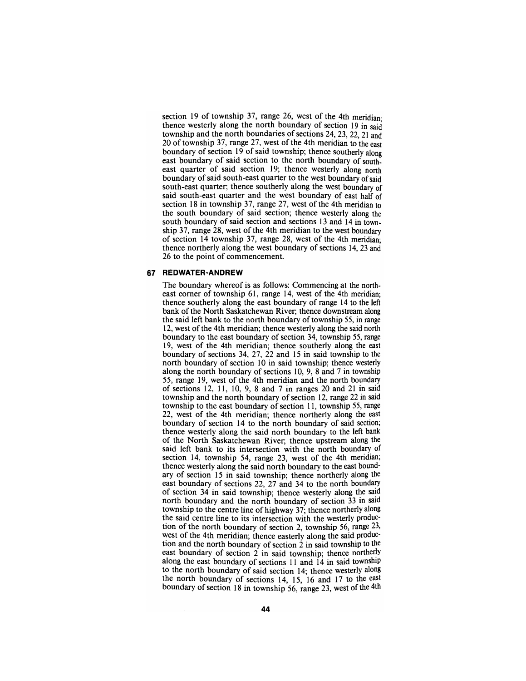section 19 of township 37, range 26, west of the 4th meridianthence westerly along the north boundary of section 19 in said township and the north boundaries of sections 24, 23, 22,21 and 20 of township 37, range 27, west of the 4th meridian to the east boundary of section 19 of said township; thence southerly along east boundary of said section to the north boundary of southeast quarter of said section 19; thence westerly along north boundary of said south-east quarter to the west boundary of said south-east quarter; thence southerly along the west boundary of said south-east quarter and the west boundary of east half of section 18 in township 37, range 27, west of the 4th meridian to the south boundary of said section; thence westerly along the south boundary of said section and sections 13 and 14 in township 37, range 28, west of the 4th meridian to the west boundary of section  $14$  township 37, range 28, west of the 4th meridian; thence northerly along the west boundary of sections 14, 23 and 26 to the point of commencement.

#### **67 REDWATER-ANDREW**

The boundary whereof is as follows: Commencing at the north-<br>east corner of township 61, range 14, west of the 4th meridian; thence southerly along the east boundary of range 14 to the left bank of the North Saskatchewan River; thence downstream along the said left bank to the north boundary of township 55, in range 12, west of the 4th meridian; thence westerly along the said north boundary to the east boundary of section 34, township 55, range 19, west of the 4th meridian; thence southerly along the east boundary of sections 34, 27, 22 and 15 in said township to the north boundary of section 10 in said township; thence westeriy along the north boundary of sections 10, 9, 8 and 7 in township 55, range 19, west of the 4th meridian and the north boundary of sections 12, 11, 10, 9, 8 and 7 in ranges 20 and 21 in said township and the north boundary of section 12, range 22 in said township to the east boundary of section 11, township 55, range 22, west of the 4th meridian; thence northerly along the east boundary of section 14 to the north boundary of said section; thence westerly along the said north boundary to the left bank of the North Saskatchewan River; thence upstream along the said left bank to its intersection with the north boundary of section 14, township 54, range 23, west of the 4th meridian; thence westerly along the said north boundary to the east bound- ary of section 15 in said township; thence northerly along the east boundary of sections 22, 27 and 34 to the north boundary of section 34 in said township; thence westerly along the said north boundary and the north boundary of section 33 in said township to the centre line of highway 37; thence northerly along the said centre line to its intersection with the westerly production of the north boundary of section 2, township 56, range 23, west of the 4th meridian; thence easterly along the said production and the north boundary of east boundary of section 2 in said township; thence northerly along the east boundary of sections 11 and 14 in said township to the north boundary of said section 14; thence westerly along the north boundary of sections 14, 15, 16 and 17 to the east boundary of section 18 in township  $56$ , range 23, west of the 4th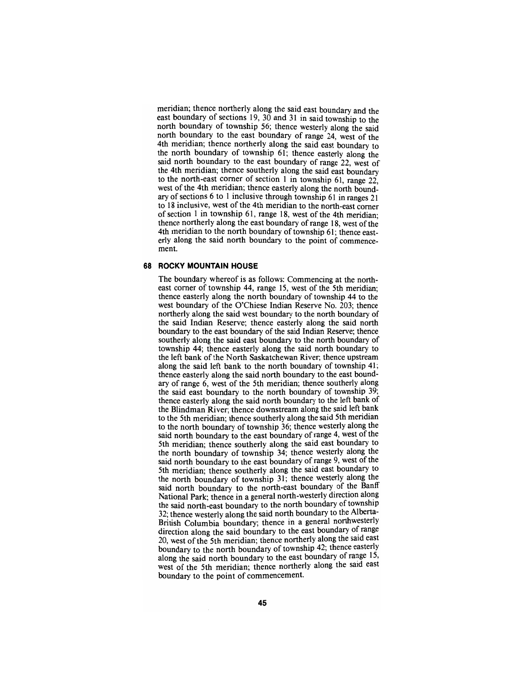meridian; thence northeriy along the said east boundary and the east boundary of sections 19, 30 and 31 in said township to the north boundary of township 56; thence westeriy along the said north boundary to the east boundary of range 24, west of the 4th meridian; thence northerly along the said east boundary to the north boundary of township 61; thence easterly along the said north boundary to the east boundary of range 22, west of the 4th meridian; thence southeriy along the said east boundary to the north-east comer of section 1 in township 61, range 22, west of the 4th meridian; thence easterly along the north boundary of sections 6 to 1 inclusive through township 61 in ranges 21 to 18 inclusive, west of the 4th meridian to the north-east corner of section 1 in township 61, range 18, west of the 4th meridian; thence northerly along the east boundary of range 18, west of the 4th meridian to the north boundary of township 61; thence easterly along the said north boundary to the point of commencement.

#### **68 ROCKY MOUNTAIN HOUSE**

The boundary whereof is as follows: Commencing at the northeast comer of township 44, range 15, west of the 5th meridian; thence easterly along the north boundary of township 44 to the west boundary of the O'Chiese Indian Reserve No. 203; thence northerly along the said west boundary to the north boundary of the said Indian Reserve; thence easterly along the said north boundary to the east boundary of the said Indian Reserve; thence southerly along the said east boundary to the north boundary of township 44; thence easterly along the said north boundary to the left bank of the North Saskatchewan River; thence upstream along the said left bank to the north boundary of township 41; thence easterly along the said north boundary to the east boundary of range 6, west of the 5th meridian; thence southerly along the said east boundary to the north boundary of township 39; thence easterly along the said north boundary to the left bank of the Blindman River; thence downstream along the said left bank to the 5th meridian; thence southerly along the said 5th meridian to the north boundary of township 36; thence westeriy along the said north boundary to the east boundary of range 4, west of the 5th meridian; thence southeriy along the said east boundary to the north boundary of township 34; thence westeriy along the said north boundary to the east boundary of range 9, west of the 5th meridian; thence southeriy along the said east boundary to the north boundary of township 31; thence westerly along the said north boundary to the north-east boundary of the Banff National Park; thence in a general north-westerly direction along the said north-east boundary to the north boundary of township 32; thence westerly along the said north boundary to the Alberta-British Columbia boundary; thence in a general northwesterly direction along the said boundary to the east boundary of range 20, west of the 5th meridian; thence northerly along the said east boundary to the north boundary of township 42; thence easterly along the said north boundary to the east boundary of range 15, west of the 5th meridian; thence northerly along the said east boundary to the point of commencement.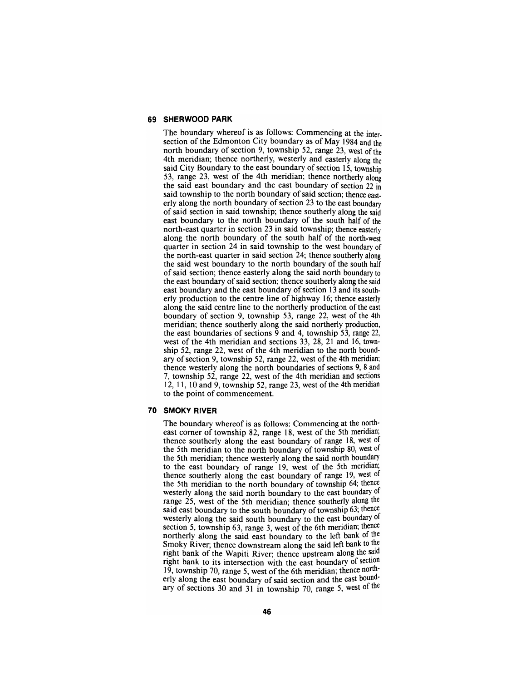#### **69 SHERWOOD PARK**

The boundary whereof is as follows: Commencing at the intersection of the Edmonton City boundary as of May 1984 and the north boundary of section 9, township 52, range  $23$ , west of the 4th meridian; thence northerly, westerly and easterly along the said City Boundary to the east boundary of section 15, township 53, range 23, west of the 4th meridian; thence northerly along the said east boundary and the east boundary of section 22 in said township to the north boundary of said section; thence easterly along the north boundary of section 23 to the east boundary of said section in said township; thence southerly along the said east boundary to the north boundary of the south half of the north-east quarter in section 23 in said township; thence easteriy along the north boundary of the south half of the north-west quarter in section 24 in said township to the west boundary of the north-east quarter in said section 24; thence southerly along the said west boundary to the north boundary of the south half of said section; thence easterly along the said north boundary to the east boundary of said section; thence southerly along the said east boundary and the east boundary of section 13 and its southeriy production to the centre line of highway 16; thence easterly along the said centre line to the northerly production of the east boundary of section 9, township 53, range 22, west of the 4th meridian; thence southerly along the said northerly production, the east boundaries of sections  $\overline{9}$  and 4, township 53, range 22, west of the 4th meridian and sections 33, 28, 21 and 16, township 52, range 22, west of the 4th meridian to the north boundary of section 9, township 52, range 22, west of the 4th meridian; thence westerly along the north boundaries of sections 9, 8 and 7, township 52, range 22, west of the 4th meridian and sections 12, 11, 10 and 9, township 52, range 23, west of the 4th meridian to the point of commencement.

#### **70 SMOKY RIVER**

The boundary whereof is as follows: Commencing at the north-<br>east corner of township 82, range 18, west of the 5th meridian; thence southerly along the east boundary of range 18, west of the 5th meridian to the north boundary of township 80, west of the 5th meridian; thence westerly along the said north boundary to the east boundary of range 19, west of the 5th meridian; thence southerly along the east boundary of range 19, west of the 5th meridian to the north boundary of township 64; thence westerly along the said north boundary to the east boundary of range 25, west of the 5th meridian; thence southerly along the said east boundary to the south boundary of township 63; thence westerly along the said south boundary to the east boundary of section 5, township 63, range 3, west of the 6th meridian; thence northerly along the said east boundary to the left bank of the Smoky River; thence downstream along the said left bank to the right bank of the Wapiti River; thence upstream along the said right bank to its intersection with the east boundary of section 19, township 70, range 5, west of the 6th meridian; thence north-<br>erly along the east boundary of said section and the east bound-<br>ary of sections 30 and 31 in township 70, range 5, west of the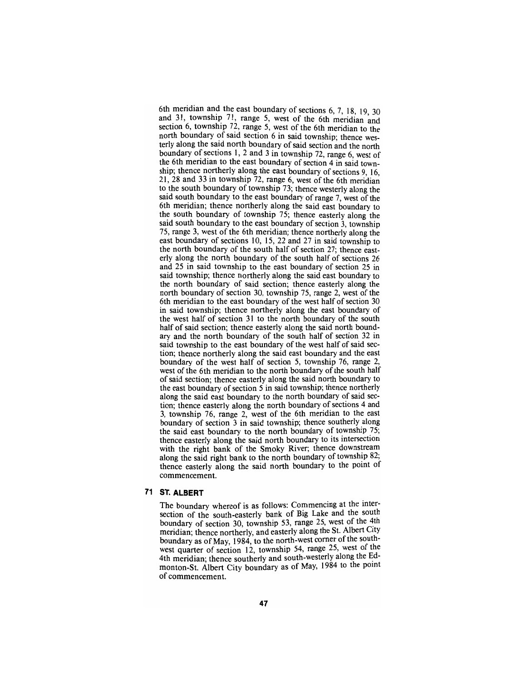6th meridian and the east boundary of sections 6, 7, 18, 19, 30 and 31, township 71, range 5, west of the 6th meridian and section 6, township  $72$ , range 5, west of the 6th meridian to the north boundary of said section 6 in said township; thence westeriy along the said north boundary of said section and the north boundary of sections 1, 2 and 3 in township 72, range 6, west of the 6th meridian to the east boundary of section 4 in said township; thence northerly along the east boundary of sections 9, 16, 21, 28 and 33 in township 72, range 6, west of the 6th meridian to the south boundary of township 73; thence westerly along the said south boundary to the east boundary of range 7, west of the 6th meridian; thence northerly along the said east boundary to the south boundary of township 75; thence easterly along the said south boundary to the east boundary of section 3, township 75, range 3, west of the 6th meridian; thence northerly along the east boundary of sections 10, 15, 22 and 27 in said township to the north boundary of the south half of section 27; thence easterly along the north boundary of the south half of sections 26 and 25 in said township to the east boundary of section 25 in said township; thence northerly along the said east boundary to the north boundary of said section; thence easterly along the north boundary of section 30, township 75, range 2, west of the 6th meridian to the east boundary of the west half of section 30 in said township; thence northerly along the east boundary of the west half of section 31 to the north boundary of the south half of said section; thence easterly along the said north boundary and the north boundary of the south half of section 32 in said township to the east boundary of the west half of said section; thence northerly along the said east boundary and the east boundary of the west half of section 5, township 76, range 2, west of the 6th meridian to the north boundary of the south half of said section; thence easterly along the said north boundary to the east boundary of section 5 in said township; thence northerly along the said east boundary to the north boundary of said section; thence easterly along the north boundary of sections 4 and 3, township 76, range 2, west of the 6th meridian to the east boundary of section 3 in said township; thence southeriy along the said east boundary to the north boundary of township 75; thence easteriy along the said north boundary to its intersection with the right bank of the Smoky River; thence downstream along the said right bank to the north boundary of township 82; thence easterly along the said north boundary to the point of commencement.

## **71 ST ALBERT**

The boundary whereof is as follows: Commencing at the intersection of the south-easteriy bank of Big Lake and the south boundary of section 30, township 53, range 25, west of the 4th meridian; thence northeriy, and easteriy along the St. Albert City boundary as of May, 1984, to the north-west corner of the southwest quarter of section 12, township 54, range 25, west ot the 4th meridian; thence southerly and south-westerly along the Edmonton-St. Albert City boundary as of May, 1984 to the point of commencement.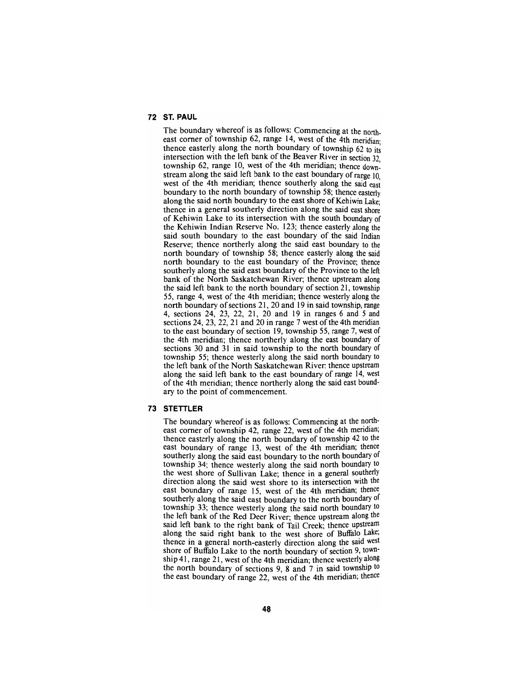## **72 ST PAUL**

The boundary whereof is as follows: Commencing at the northeast corner of township  $62$ , range 14, west of the 4th meridian. thence easterly along the north boundary of township 62 to its intersection with the left bank of the Beaver River in section 32, township  $62$ , range 10, west of the 4th meridian; thence downstream along the said left bank to the east boundary of range 10, west of the 4th meridian; thence southerly along the said east boundary to the north boundary of township 58; thence easteriy along the said north boundary to the east shore of Kehiwin Lake; thence in a general southerly direction along the said east shore of Kehiwin Lake to its intersection with the south boundary of the Kehiwin Indian Reserve No. 123; thence easterly along the said south boundary to the east boundary of the said Indian Reserve; thence northerly along the said east boundary to the north boundary of township 58; thence easterly along the said north boundary to the east boundary of the Province; thence southerly along the said east boundary of the Province to the left bank of the North Saskatchewan River; thence upstream along the said left bank to the north boundary of section 21, township 55, range 4, west of the 4th meridian; thence westerly along the north boundary of sections 21, 20 and 19 in said township, range 4, sections 24, 23, 22, 21, 20 and 19 in ranges 6 and 5 and sections 24, 23, 22, 21 and 20 in range  $7$  west of the 4th meridian to the east boundary of section 19, township 55, range 7, west of the 4th meridian; thence northerly along the east boundary of sections 30 and 31 in said township to the north boundary of township 55; thence westerly along the said north boundary to the left bank of the North Saskatchewan River; thence upstream along the said left bank to the east boundary of range 14, west of the 4th meridian; thence northerly along the said east boundary to the point of commencement.

#### **73 STETTLER**

The boundary whereof is as follows: Commencing at the north-<br>east corner of township 42, range 22, west of the 4th meridian; thence easterly along the north boundary of township 42 to the east boundary of range 13, west of the 4th meridian; thence southerly along the said east boundary to the north boundary of township 34; thence westerly along the said north boundary to the west shore of Sullivan Lake; thence in a general southeriy direction along the said west shore to its intersection with the east boundary of range 15, west of the 4th meridian; thence southerly along the said east boundary to the north boundary of township 33; thence westerly along the said north boundary to the left bank of the Red Deer River; thence upstream along the said left bank to the right bank of Tail Creek; thence upstream along the said right bank to the west shore of Buffalo Lake; thence in a general north-easterly direction along the said west shore of Buffalo Lake to the north boundary of section 9, town-<br>ship 41, range 21, west of the 4th meridian; thence westerly along the north boundary of sections 9, 8 and 7 in said township to the east boundary of range 22, west of the 4th meridian; thence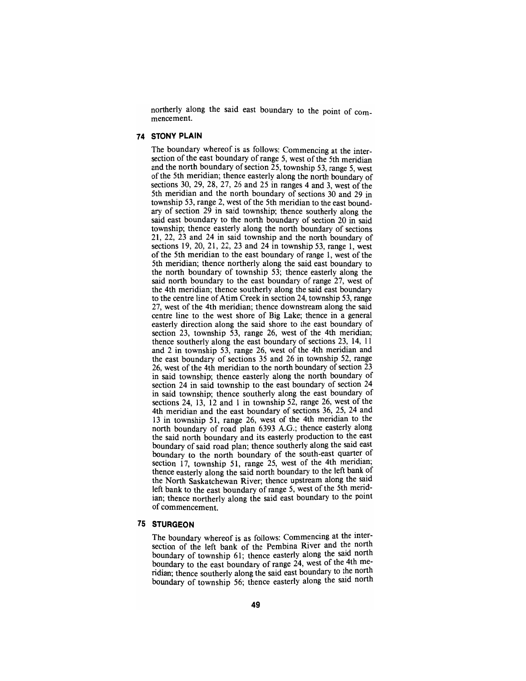northerly along the said east boundary to the point of com- mencement.

#### **74 STONY PLAIN**

The boundary whereof is as follows: Commencing at the intersection of the east boundary of range 5, west of the 5th meridian and the north boundary of section  $\overline{25}$ , township 53, range 5, west of the 5th meridian; thence easterly along the north boundary of sections 30, 29, 28, 27, 26 and 25 in ranges 4 and 3, west of the 5th meridian and the north boundary of sections 30 and 29 in township 53, range 2, west of the 5th meridian to the east boundary of section 29 in said township; thence southerly along the said east boundary to the north boundary of section 20 in said township; thence easterly along the north boundary of sections 21, 22, 23 and 24 in said township and the north boundary of sections 19, 20, 21, 22, 23 and 24 in township 53, range 1, west of the 5th meridian to the east boundary of range 1, west of the 5th meridian; thence northeriy along the said east boundary to the north boundary of township 53; thence easterly along the said north boundary to the east boundary of range 27, west of the 4th meridian; thence southerly along the said east boundary to the centre line of Atim Creek in section 24, township 53, range 27, west of the 4th meridian; thence downstream along the said centre line to the west shore of Big Lake; thence in a general easterly direction along the said shore to the east boundary of section 23, township 53, range 26, west of the 4th meridian; thence southerly along the east boundary of sections 23, 14, 11 and 2 in township 53, range 26, west of the 4th meridian and the east boundary of sections 35 and 26 in township 52, range 26, west of the 4th meridian to the north boundary of section  $\overline{23}$ in said township; thence easterly along the north boundary of section 24 in said township to the east boundary of section 24 in said township; thence southerly along the east boundary of sections 24, 13, 12 and 1 in township 52, range 26, west of the 4th meridian and the east boundary of sections 36, 25, 24 and 13 in township 51, range 26, west of the 4th meridian to the north boundary of road plan 6393 A.G.; thence easteriy along the said north boundary and its easteriy production to the east boundary of said road plan; thence southerly along the said east boundary to the north boundary of the south-east quarter of section 17, township 51, range 25, west of the 4th meridian; thence easterly along the said north boundary to the left bank of the North Saskatchewan River; thence upstream along the said left bank to the east boundary of range 5, west of the 5th meridian; thence northeriy along the said east boundary to the point of commencement.

#### **75 STURGEON**

The boundary whereof is as follows: Commencing at the intersection of the left bank of the Pembina River and the north boundary of township 61; thence easterly along the said north boundary to the east boundary of range 24, west of the 4th meridian; thence southeriy along the said east boundary to the north boundary of township 56; thence easterly along the said north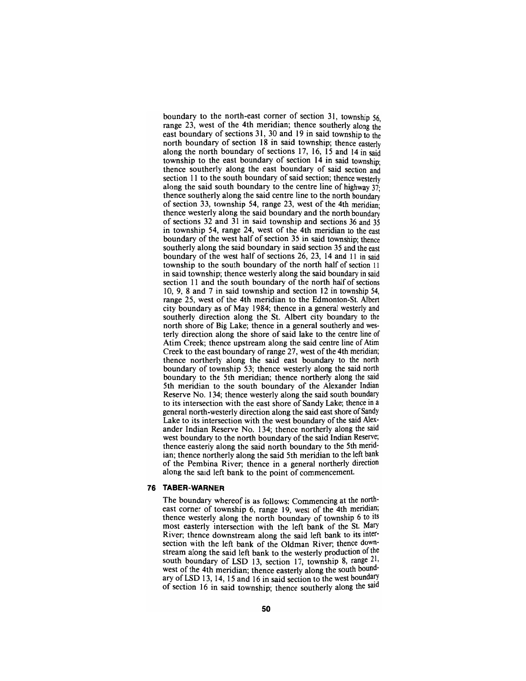boundary to the north-east comer of section 31, township 56, range 23, west of the 4th meridian; thence southerly along the east boundary of sections 31, 30 and 19 in said township to the north boundary of section 18 in said township; thence easterly along the north boundary of sections 17, 16, 15 and 14 in said township to the east boundary of section 14 in said township; thence southerly along the east boundary of said section and section 11 to the south boundary of said section; thence westeriy along the said south boundary to the centre line of highway  $37$ ; thence southerly along the said centre line to the north boundary of section 33, township 54, range 23, west of the 4th meridian; thence westerly along the said boundary and the north boundary of sections 32 and 31 in said township and sections 36 and 35 in township 54, range 24, west of the 4th meridian to the east boundary of the west half of section 35 in said township; thence southerly along the said boundary in said section 35 and the east boundary of the west half of sections  $26$ ,  $23$ ,  $14$  and  $11$  in said township to the south boundary of the north half of section 11 in said township; thence westerly along the said boundary in said section 11 and the south boundary of the north half of sections 10, 9, 8 and 7 in said township and section 12 in township 54, range 25, west of the 4th meridian to the Edmonton-St. Albert city boundary as of May 1984; thence in a general westerly and southerly direction along the St. Albert city boundary to the north shore of Big Lake; thence in a general southerly and westerly direction along the shore of said lake to the centre line of Atim Creek; thence upstream along the said centre line of Atim Creek to the east boundary of range 27, west of the 4th meridian; thence northerly along the said east boundary to the north boundary of township 53; thence westerly along the said north boundary to the 5th meridian; thence northerly along the said 5th meridian to the south boundary of the Alexander Indian Reserve No. 134; thence westerly along the said south boundary to its intersection with the east shore of Sandy Lake; thence in a general north-westerly direction along the said east shore of Sandy Lake to its intersection with the west boundary of the said Alexander Indian Reserve No. 134; thence northerly along the said west boundary to the north boundary of the said Indian Reserve; thence easterly along the said north boundary to the 5th meridian; thence northerly along the said 5th meridian to the left bank of the Pembina River; thence in a general northerly direction along the said left bank to the point of commencement.

#### **76 TABER-WARNER**

The boundary whereof is as follows: Commencing at the northeast corner of township 6, range 19, west of the 4th meridian; thence westerly along the north boundary of township 6 to its most easteriy intersection with the left bank of the St. Mary River; thence downstream along the said left bank to its intersection with the left bank of the Oldman River; thence downstream along the said left bank to the westerly production of the south boundary of LSD 13, section 17, township 8, range 21, west of the 4th meridian; thence easterly along the south boundary of LSD 13, 14, 15 and 16 in said section to the west boundary of section 16 in said township; thence southeriy along the said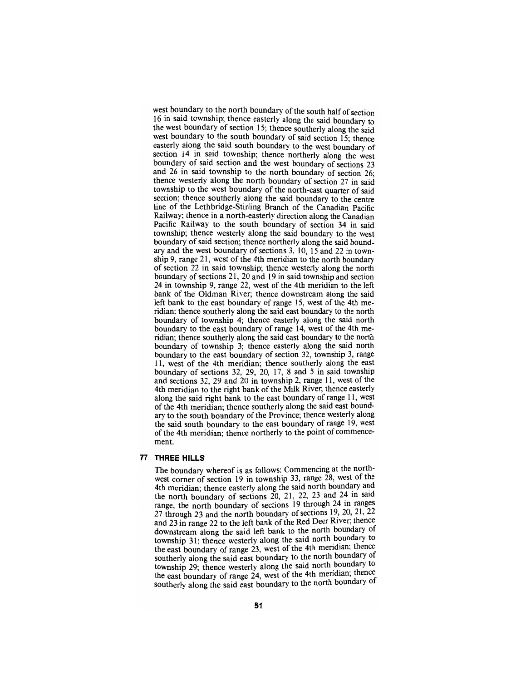west boundary to the north boundary of the south half of section 16 in said township; thence easterly along the said boundary to the west boundary of section 15; thence southeriy along the said west boundary to the south boundary of said section 15; thence easterly along the said south boundary to the west boundary of section 14 in said township; thence northeriy along the west boundary of said section and the west boundary of sections 23 and 26 in said township to the north boundary of section 26; thence westerly along the north boundary of section 27 in said township to the west boundary of the north-east quarter of said section; thence southerly along the said boundary to the centre line of the Lethbridge-Stirling Branch of the Canadian Pacific Railway; thence in a north-easterly direction along the Canadian Pacific Railway to the south boundary of section 34 in said township; thence westerly along the said boundary to the west boundary of said section; thence northerly along the said boundary and the west boundary of sections 3, 10, 15 and 22 in township 9, range 21, west of the 4th meridian to the north boundary of section 22 in said township; thence westerly along the north boundary of sections 21, 20 and 19 in said township and section 24 in township 9, range 22, west of the 4th meridian to the left bank of the Oldman River; thence downstream along the said left bank to the east boundary of range 15, west of the 4th meridian; thence southerly along the said east boundary to the north boundary of township 4; thence easterly along the said north boundary to the east boundary of range 14, west of the 4th meridian; thence southerly along the said east boundary to the north boundary of township 3; thence easteriy along the said north boundary to the east boundary of section 32, township 3, range 11, west of the 4th meridian; thence southerly along the east boundary of sections 32, 29, 20, 17, 8 and 5 in said township and sections 32, 29 and 20 in township 2, range 11, west of the 4th meridian to the right bank of the Milk River; thence easterly along the said right bank to the east boundary of range 11, west of the 4th meridian; thence southerly along the said east boundary to the south boundary of the Province; thence westerly along the said south boundary to the east boundary of range 19, west of the 4th meridian; thence northerly to the point of commencement.

#### **77 THREE HILLS**

The boundary whereof is as follows: Commencing at the northwest comer of section 19 in township 33, range 28, west ot the 4th meridian; thence easterly along the said north boundary and the north boundary of sections 20, 21, 22, 23 and 24 in said range, the north boundary of sections 19 through 24 in ranges 27 through 23 and the north boundary of sections 19, 20, 21, 22 and 23 in range 22 to the left bank of the Red Deer River; thence downstream along the said left bank to the north boundary ot township 31; thence westerly along the said north boundary to the east boundary of range  $23$ , west of the 4th meridian; thence southerly along the said east boundary to the north boundary ot township 29; thence westeriy along the said north boundary to the east boundary of range 24, west of the 4th meridian; thence southerly along the said east boundary to the north boundary of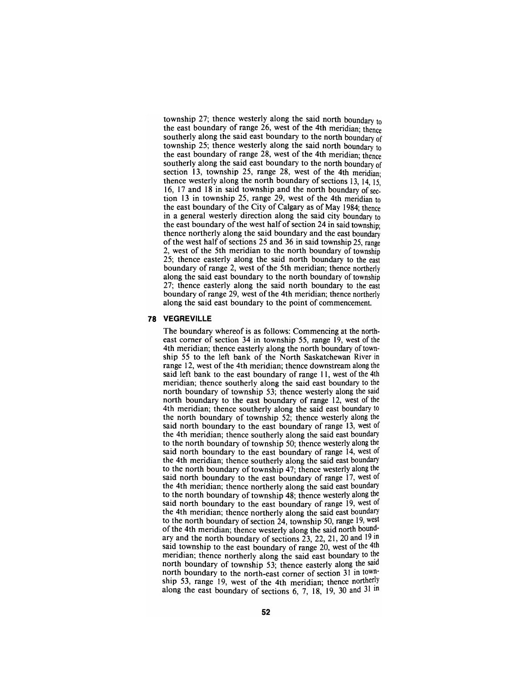township 27; thence westerly along the said north boundary to the east boundary of range 26, west of the 4th meridian; thence southerly along the said east boundary to the north boundary of township 25; thence westerly along the said north boundary to the east boundary of range 28, west of the 4th meridian; thence southerly along the said east boundary to the north boundary of section 13, township 25, range 28, west of the 4th meridian: thence westerly along the north boundary of sections 13, 14, 15. 16,17 and 18 in said township and the north boundary of section 13 in township 25, range 29, west of the 4th meridian to the east boundary of the City of Calgary as of May 1984; thence in a general westerly direction along the said city boundary to the east boundary of the west half of section 24 in said township; thence northerly along the said boundary and the east boundary of the west half of sections 25 and 36 in said township 25, range 2, west of the 5th meridian to the north boundary of township 25; thence easterly along the said north boundary to the east boundary of range 2, west of the 5th meridian; thence northeriy along the said east boundary to the north boundary of township 27; thence easterly along the said north boundary to the east boundary of range 29, west of the 4th meridian; thence northerly along the said east boundary to the point of commencement.

#### **78 VEGREVILLE**

The boundary whereof is as follows: Commencing at the north-<br>east corner of section 34 in township 55, range 19, west of the 4th meridian; thence easterly along the north boundary of town- ship 55 to the left bank of the North Saskatchewan River in range 12, west of the 4th meridian; thence downstream along the said left bank to the east boundary of range 11, west of the 4th meridian; thence southerly along the said east boundary to the north boundary of township 53; thence westeriy along the said north boundary to the east boundary of range 12, west of the 4th meridian; thence southerly along the said east boundary to the north boundary of township 52; thence westerly along the said north boundary to the east boundary of range 13, west of the 4th meridian; thence southerly along the said east boundary to the north boundary of township 50; thence westerly along the said north boundary to the east boundary of range 14, west of the 4th meridian; thence southerly along the said east boundary to the north boundary of township 47; thence westerly along the said north boundary to the east boundary of range 17, west of the 4th meridian; thence northerly along the said east boundary to the north boundary of township 48; thence westeriy along the said north boundary to the east boundary of range 19, west of the 4th meridian; thence northerly along the said east boundary to the north boundary of section 24, township 50, range 19, west of the 4th meridian; thence westerly along the said north boundary ary and the north boundary of sections 23, 22, 21, 20 and 19 in said township to the east boundary of range 20, west of the 4th meridian; thence northerly along the said east boundary to the north boundary of township 53; thence easterly along the said north boundary to the north-east comer of section 31 in town ship 53, range 19, west of the 4th meridian; thence northerly along the east boundary of sections  $6, 7, 18, 19, 30$  and  $31 \text{ in}$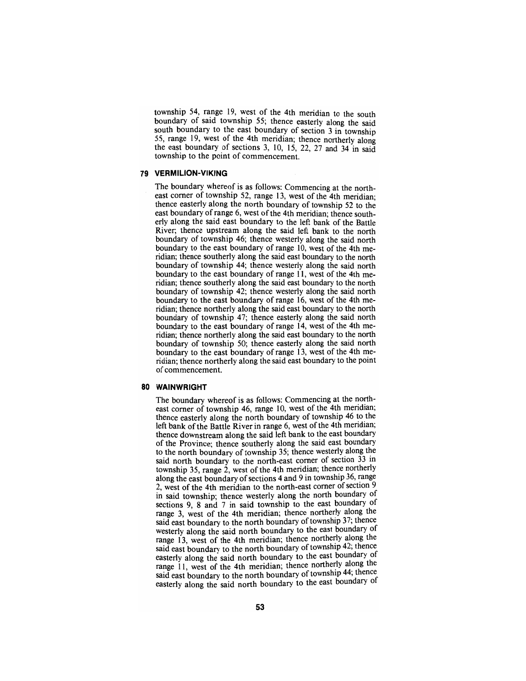township 54, range 19, west of the 4th meridian to the south boundary of said township 55; thence easteriy along the said south boundary to the east boundary of section 3 in township 55, range 19, west of the 4th meridian; thence northerly along the east boundary of sections 3, 10, 15, 22, 27 and 34 in said township to the point of commencement.

## **79 VERMILION-VIKING**

The boundary whereof is as follows: Commencing at the northeast corner of township 52, range 13, west of the 4th meridian: thence easterly along the north boundary of township 52 to the east boundary of range 6, west of the 4th meridian; thence southerly along the said east boundary to the left bank of the Battle River; thence upstream along the said left bank to the north boundary of township 46; thence westerly along the said north boundary to the east boundary of range 10, west of the 4th meridian; thence southerly along the said east boundary to the north boundary of township 44; thence westerly along the said north boundary to the east boundary of range 11, west of the 4th meridian; thence southerly along the said east boundary to the north boundary of township 42; thence westerly along the said north boundary to the east boundary of range 16, west of the 4th meridian; thence northerly along the said east boundary to the north boundary of township 47; thence easterly along the said north boundary to the east boundary of range 14, west of the 4th meridian; thence northerly along the said east boundary to the north boundary of township 50; thence easterly along the said north boundary to the east boundary of range 13, west of the 4th meridian; thence northerly along the said east boundary to the point of commencement.

#### **80 WAINWRIGHT**

The boundary whereof is as follows: Commencing at the northeast corner of township 46, range 10, west of the 4th meridian; thence easterly along the north boundary of township 46 to the left bank of the Battle River in range 6, west of the 4th meridian; thence downstream along the said left bank to the east boundary of the Province; thence southeriy along the said east boundary to the north boundary of township 35; thence westeriy along the said north boundary to the north-east comer of section 33 in township 35, range 2, west of the 4th meridian; thence northerly along the east boundary of sections 4 and 9 in township 36, range 2, west of the 4th meridian to the north-east corner of section 9 in said township; thence westeriy along the north boundary of sections 9, 8 and 7 in said township to the east boundary of range 3, west of the 4th meridian; thence northeriy along the said east boundary to the north boundary of township 37; thence westerly along the said north boundary to the east boundary ot range 13, west of the 4th meridian; thence northerly along the said east boundary to the north boundary of township 42; thence easterly along the said north boundary to the east boundary of range 11, west of the 4th meridian; thence northerly along the said east boundary to the north boundary of township 44; thence easterly along the said north boundary to the east boundary of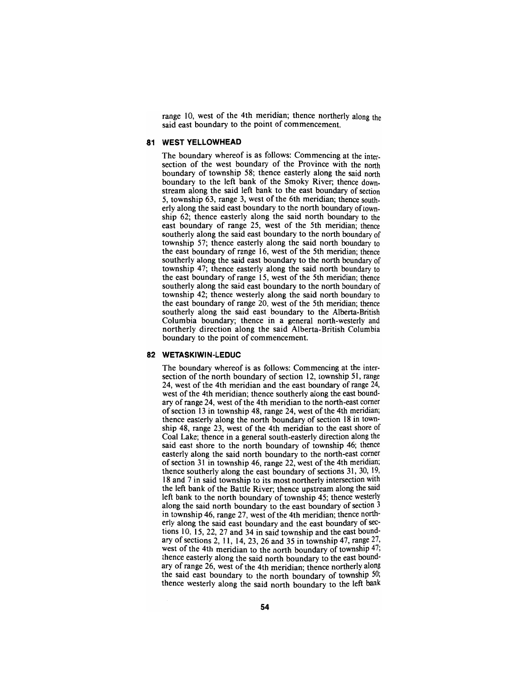range 10, west of the 4th meridian; thence northerly along the said east boundary to the point of commencement.

## **81 WEST YELLOWHEAD**

The boundary whereof is as follows: Commencing at the intersection of the west boundary of the Province with the north boundary of township 58; thence easterly along the said north boundary to the left bank of the Smoky River; thence downstream along the said left bank to the east boundary of section 5, township 63, range 3, west of the 6th meridian; thence southeriy along the said east boundary to the north boundary of township 62; thence easterly along the said north boundary to the east boundary of range 25, west of the 5th meridian; thence southerly along the said east boundary to the north boundary of township 57; thence easterly along the said north boundary to the east boundary of range 16, west of the 5th meridian; thence southerly along the said east boundary to the north boundary of township 47; thence easterly along the said north boundary to the east boundary of range 15, west of the 5th meridian; thence southerly along the said east boundary to the north boundary of township 42; thence westerly along the said north boundary to the east boundary of range 20, west of the 5th meridian; thence southerly along the said east boundary to the Alberta-British Columbia boundary; thence in a general north-westerly and northerly direction along the said Alberta-British Columbia boundary to the point of commencement.

#### **82 WETASKIWIN-LEDUC**

The boundary whereof is as follows: Commencing at the inter-<br>section of the north boundary of section 12, township 51, range 24, west of the 4th meridian and the east boundary of range 24, west of the 4th meridian; thence southerly along the east bound-<br>ary of range 24, west of the 4th meridian to the north-east comer of section 13 in township 48, range 24, west of the 4th meridian; thence easterly along the north boundary of section 18 in town- ship 48, range 23, west of the 4th meridian to the east shore of Coal Lake; thence in a general south-easterly direction along the said east shore to the north boundary of township 46; thence easterly along the said north boundary to the north-east corner of section 31 in township 46, range 22, west of the 4th meridian; thence southerly along the east boundary of sections 31, 30, 19, 18 and 7 in said township to its most northerly intersection with the left bank of the Battle River; thence upstream along the said left bank to the north boundary of township 45; thence westerly along the said north boundary to the east boundary of section 3 in township 46, range 27, west of the 4th meridian; thence north-<br>erly along the said east boundary and the east boundary of sec-<br>tions 10, 15, 22, 27 and 34 in said township and the east bound-<br>ary of sections 2, 11, 14, thence easterly along the said north boundary to the east bound-<br>ary of range 26, west of the 4th meridian; thence northerly along the said east boundary to the north boundary of township 50; thence westeriy along the said north boundary to the left bank